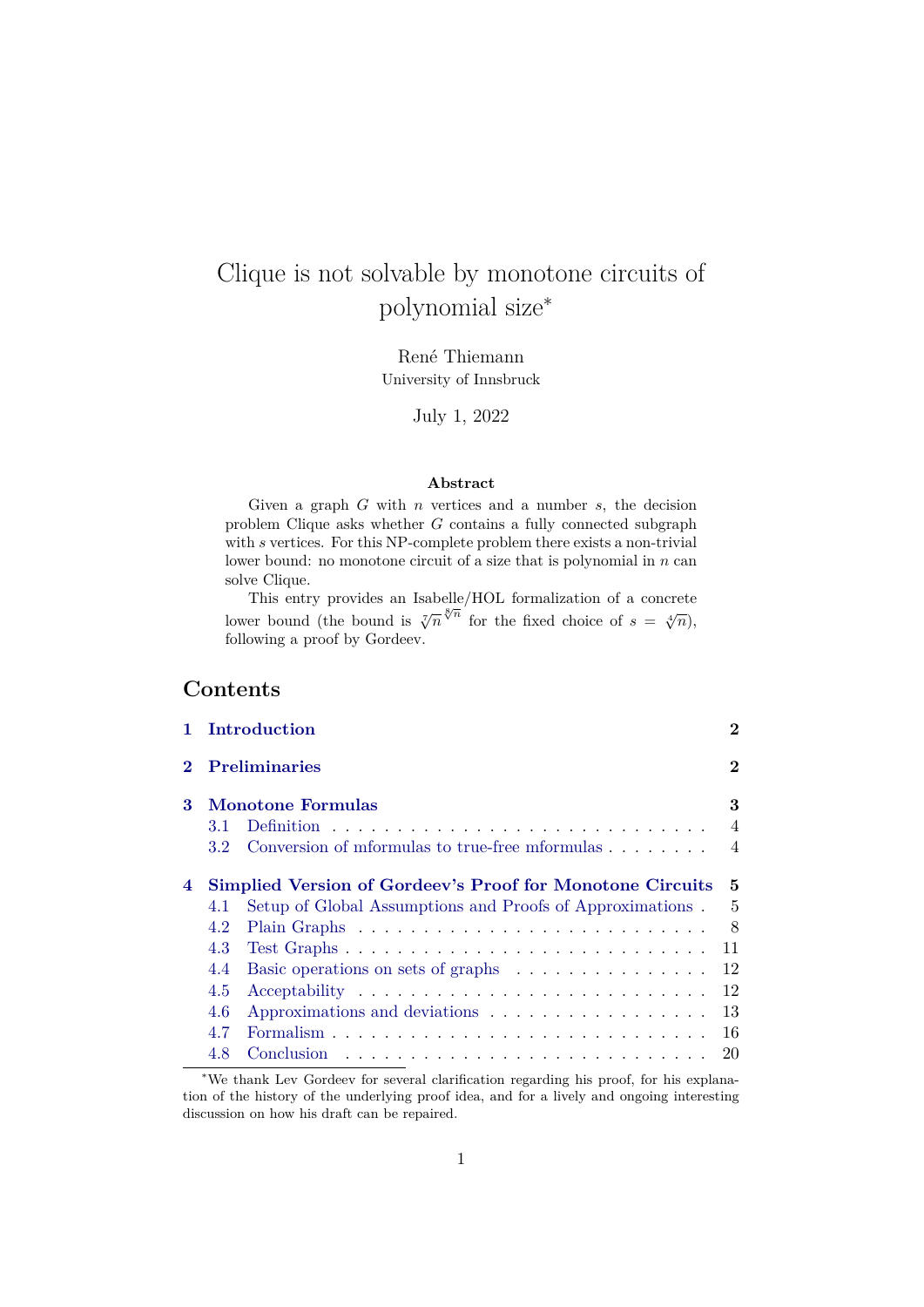# Clique is not solvable by monotone circuits of polynomial size<sup>∗</sup>

René Thiemann University of Innsbruck

July 1, 2022

#### **Abstract**

Given a graph  $G$  with  $n$  vertices and a number  $s$ , the decision problem Clique asks whether  $G$  contains a fully connected subgraph with s vertices. For this NP-complete problem there exists a non-trivial lower bound: no monotone circuit of a size that is polynomial in  $n$  can solve Clique.

This entry provides an Isabelle/HOL formalization of a concrete lower bound (the bound is  $\sqrt[7]{n}^{\sqrt[8]{n}}$  for the fixed choice of  $s = \sqrt[4]{n}$ ), following a proof by Gordeev.

# **Contents**

|   | Introduction                                                         | $\bf{2}$       |
|---|----------------------------------------------------------------------|----------------|
|   | <b>Preliminaries</b>                                                 | $\bf{2}$       |
| 3 | <b>Monotone Formulas</b>                                             | 3              |
|   | 3.1                                                                  | $\overline{4}$ |
|   | Conversion of mformulas to true-free mformulas<br>3.2                | $\overline{4}$ |
| 4 | Simplied Version of Gordeev's Proof for Monotone Circuits            | 5              |
|   | Setup of Global Assumptions and Proofs of Approximations.<br>4.1     | $\overline{5}$ |
|   | 4.2                                                                  | 8              |
|   | 4.3                                                                  | 11             |
|   | 4.4                                                                  | 12             |
|   | 4.5                                                                  | 12             |
|   | 4.6<br>Approximations and deviations $\dots \dots \dots \dots \dots$ | 13             |
|   | 4.7                                                                  | 16             |
|   | 4.8                                                                  | 20             |

<sup>∗</sup>We thank Lev Gordeev for several clarification regarding his proof, for his explanation of the history of the underlying proof idea, and for a lively and ongoing interesting discussion on how his draft can be repaired.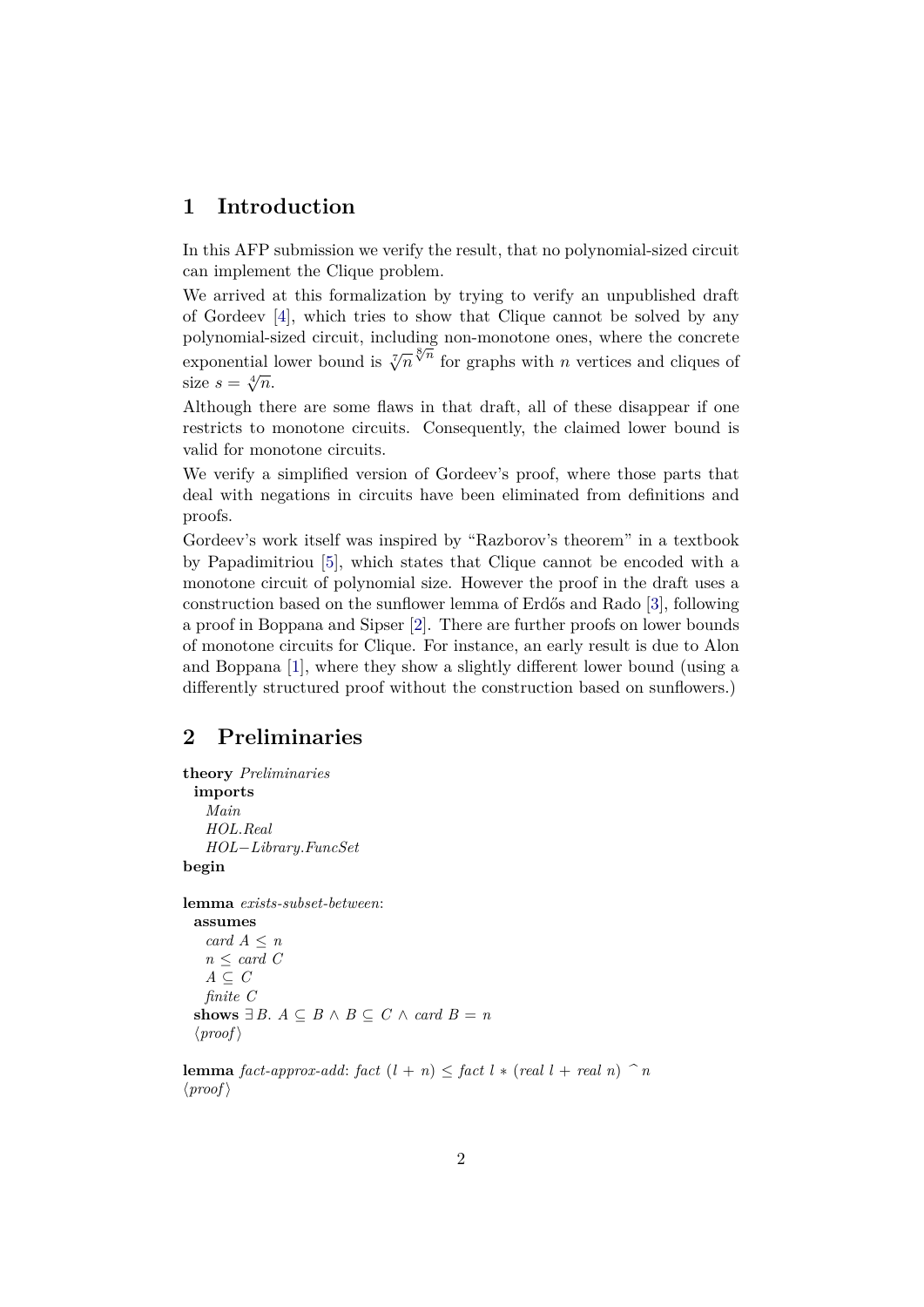# <span id="page-1-0"></span>**1 Introduction**

In this AFP submission we verify the result, that no polynomial-sized circuit can implement the Clique problem.

We arrived at this formalization by trying to verify an unpublished draft of Gordeev [\[4\]](#page-20-0), which tries to show that Clique cannot be solved by any polynomial-sized circuit, including non-monotone ones, where the concrete polynomial sized circuit, including non-monotone ones, where the concrete exponential lower bound is  $\sqrt[7]{n} \sqrt[8]{\pi}$  for graphs with *n* vertices and cliques of exponential.<br>size  $s = \sqrt[4]{n}$ .

Although there are some flaws in that draft, all of these disappear if one restricts to monotone circuits. Consequently, the claimed lower bound is valid for monotone circuits.

We verify a simplified version of Gordeev's proof, where those parts that deal with negations in circuits have been eliminated from definitions and proofs.

Gordeev's work itself was inspired by "Razborov's theorem" in a textbook by Papadimitriou [\[5\]](#page-20-1), which states that Clique cannot be encoded with a monotone circuit of polynomial size. However the proof in the draft uses a construction based on the sunflower lemma of Erdős and Rado [\[3\]](#page-20-2), following a proof in Boppana and Sipser [\[2\]](#page-20-3). There are further proofs on lower bounds of monotone circuits for Clique. For instance, an early result is due to Alon and Boppana [\[1\]](#page-20-4), where they show a slightly different lower bound (using a differently structured proof without the construction based on sunflowers.)

# <span id="page-1-1"></span>**2 Preliminaries**

```
theory Preliminaries
  imports
    Main
    HOL.Real
    HOL−Library.FuncSet
begin
lemma exists-subset-between:
  assumes
    card A ≤ n
   n \leq \text{card } CA \subseteq Cfinite C
  shows ∃ B. A \subseteq B \land B \subseteq C \land card B = n\langle proof \rangle
```
**lemma** *fact-approx-add: fact*  $(l + n) \leq$  *fact*  $l * (real l + real n)$   $\hat{\ } n$  $\langle proof \rangle$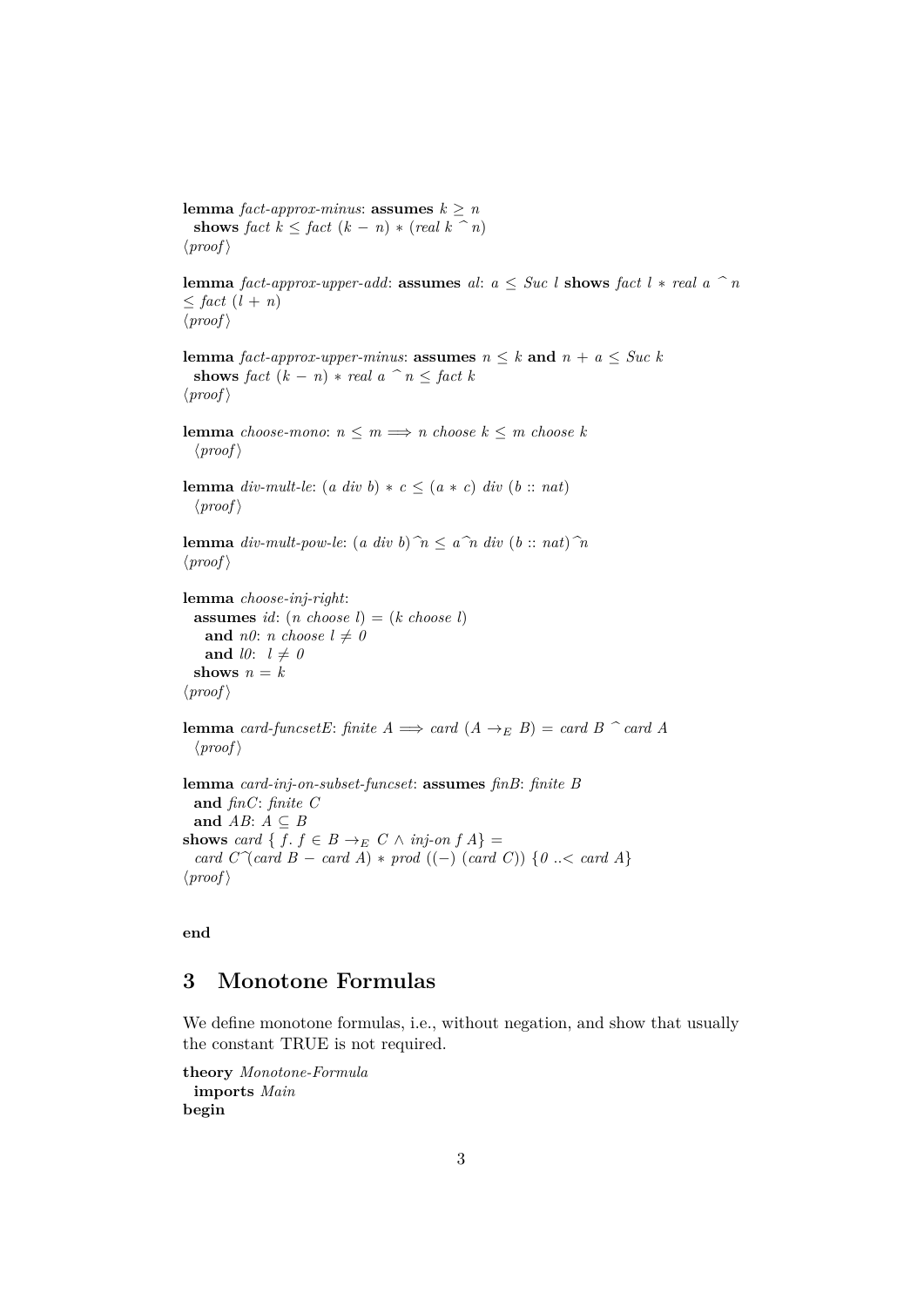**lemma** *fact-approx-minus*: **assumes**  $k \geq n$ **shows** *fact*  $k \leq$  *fact*  $(k - n) * (real k \n\hat{=} n)$  $\langle proof \rangle$ 

**lemma** *fact-approx-upper-add*: **assumes** *al*:  $a \leq Suc$  *l* **shows** *fact l* \* *real*  $a \nightharpoonup n$  $\leq$  *fact*  $(l + n)$  $\langle proof \rangle$ 

```
lemma fact-approx-upper-minus: assumes n \leq k and n + a \leq Suc k
  shows fact (k - n) * real a \, \hat{\ } \, n \leq fact \, k\langle proof \rangle
```
**lemma** *choose-mono*:  $n \leq m \implies n$  *choose*  $k \leq m$  *choose*  $k$  $\langle proof \rangle$ 

**lemma** *div-mult-le*:  $(a \ div b) * c \leq (a * c) \ div (b :: nat)$  $\langle proof \rangle$ 

**lemma** *div-mult-pow-le*:  $(a \ div b)^{\frown} n \leq a \widehat{a} n \ div (b :: n \iota n) \widehat{a} n$  $\langle proof \rangle$ 

```
lemma choose-inj-right:
  assumes id: (n \text{ choose } l) = (k \text{ choose } l)and n0: n choose l \neq 0and l0: l \neq 0shows n = k\langle proof \rangle
```
**lemma** *card-funcsetE*: *finite*  $A \implies$  *card*  $(A \rightarrow_E B) =$  *card*  $B \cap$  *card*  $A$  $\langle proof \rangle$ 

**lemma** *card-inj-on-subset-funcset*: **assumes** *finB*: *finite B* **and** *finC*: *finite C* and  $AB: A \subseteq B$ **shows** *card* {  $f \colon f \in B \to_E C \land inj-on f A$ } = *card*  $C^{\frown}$  *card B* − *card A*) \* *prod* ((−) (*card C*)) { $0 \leq$  *card A*}  $\langle proof \rangle$ 

**end**

# <span id="page-2-0"></span>**3 Monotone Formulas**

We define monotone formulas, i.e., without negation, and show that usually the constant TRUE is not required.

**theory** *Monotone-Formula* **imports** *Main* **begin**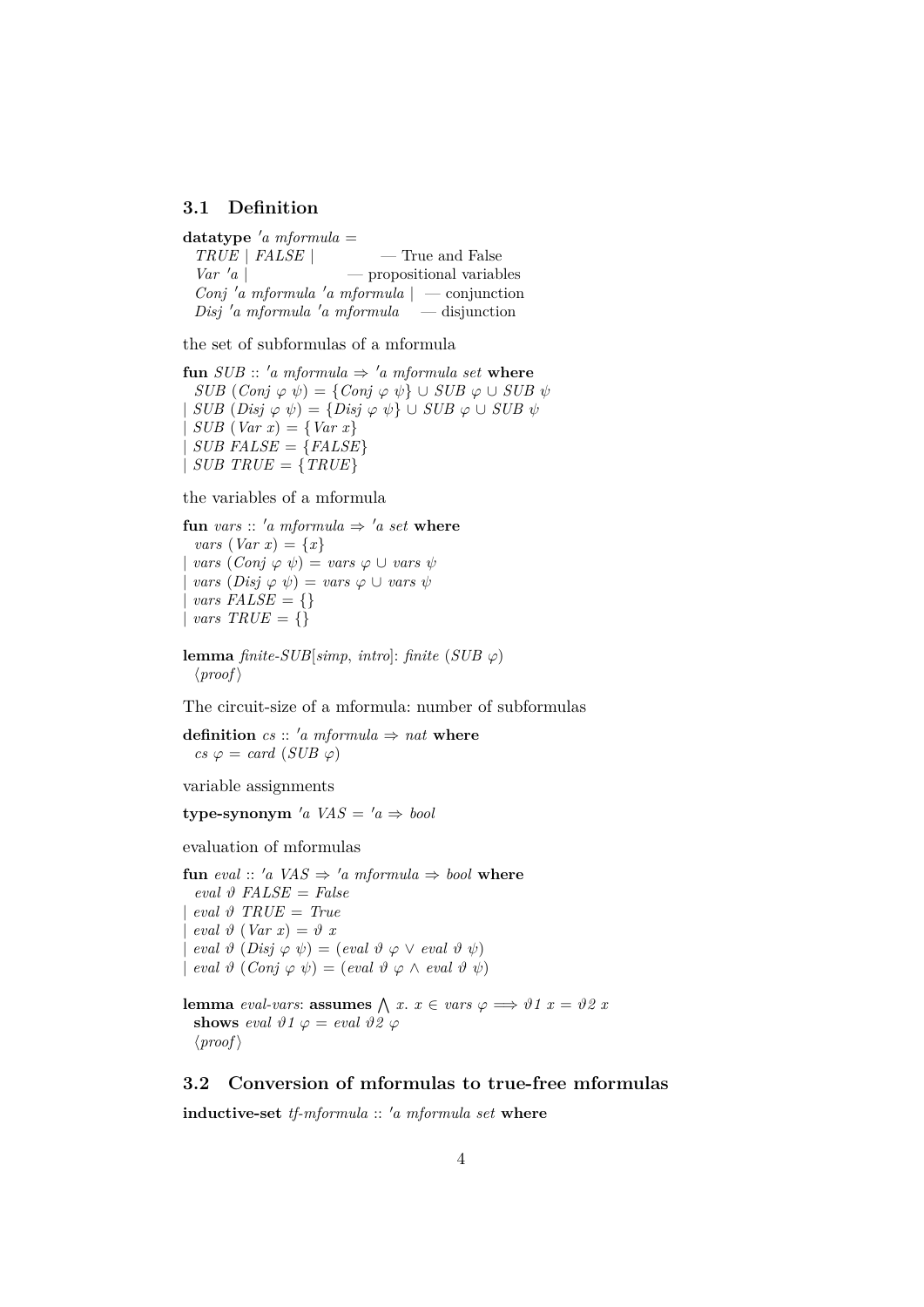### <span id="page-3-0"></span>**3.1 Definition**

 $datatype'$ *a* mformula = *TRUE* | *FALSE* | — True and False  $Var^{\dagger}a$  | — propositional variables *Conj* <sup>0</sup>*a mformula* <sup>0</sup>*a mformula* | — conjunction  $Disj' a mformula' a mformula \t -disjunction$ 

the set of subformulas of a mformula

**fun** *SUB* :: 'a mformula  $\Rightarrow$  'a mformula set where  $SUB (Conj \varphi \psi) = \{Conj \varphi \psi\} \cup SUB \varphi \cup SUB \psi$  $SUB \ (Disj \ \varphi \ \psi) = \{ Disj \ \varphi \ \psi \} \cup SUB \ \varphi \cup SUB \ \psi$  $SUB (Var x) = \{Var x\}$  $SUB$   $FALSE = {FALSE}$  $\vert$  *SUB TRUE* = {*TRUE*}

the variables of a mformula

**fun** *vars* :: 'a *mformula*  $\Rightarrow$  'a *set* **where** *vars*  $(Var x) = \{x\}$  $vars (Conj \varphi \psi) = vars \varphi \cup vars \psi$  $vars \ (Disj \ \varphi \ \psi) = vars \ \varphi \ \cup vars \ \psi$  $vars$  FALSE = {} |  $vars$   $TRUE = \{\}$ 

**lemma** *finite-SUB*[ $simp$ , *intro*]: *finite* (*SUB*  $\varphi$ )  $\langle proof \rangle$ 

The circuit-size of a mformula: number of subformulas

**definition**  $cs :: 'a$  mformula  $\Rightarrow$  nat where  $cs \varphi = \text{card}(SUB \varphi)$ 

variable assignments

**type-synonym** 'a  $VAS = 'a \Rightarrow bool$ 

evaluation of mformulas

**fun** *eval* :: 'a *VAS*  $\Rightarrow$  'a *mformula*  $\Rightarrow$  *bool* **where**  $eval \vartheta$  *FALSE* = *False*  $eval \vartheta$   $TRUE = True$  $eval \vartheta (Var x) = \vartheta x$  $eval \theta (Disj \varphi \psi) = (eval \theta \varphi \vee eval \theta \psi)$  $eval \vartheta (Conj \varphi \psi) = (eval \vartheta \varphi \wedge eval \vartheta \psi)$ 

**lemma** *eval-vars*: **assumes**  $\bigwedge x$ .  $x \in vars \varphi \Longrightarrow \vartheta 1$   $x = \vartheta 2$  *x* **shows** eval  $\vartheta$ 1  $\varphi$  = eval  $\vartheta$ 2  $\varphi$  $\langle proof \rangle$ 

## <span id="page-3-1"></span>**3.2 Conversion of mformulas to true-free mformulas**

**inductive-set** *tf-mformula* :: 'a mformula set where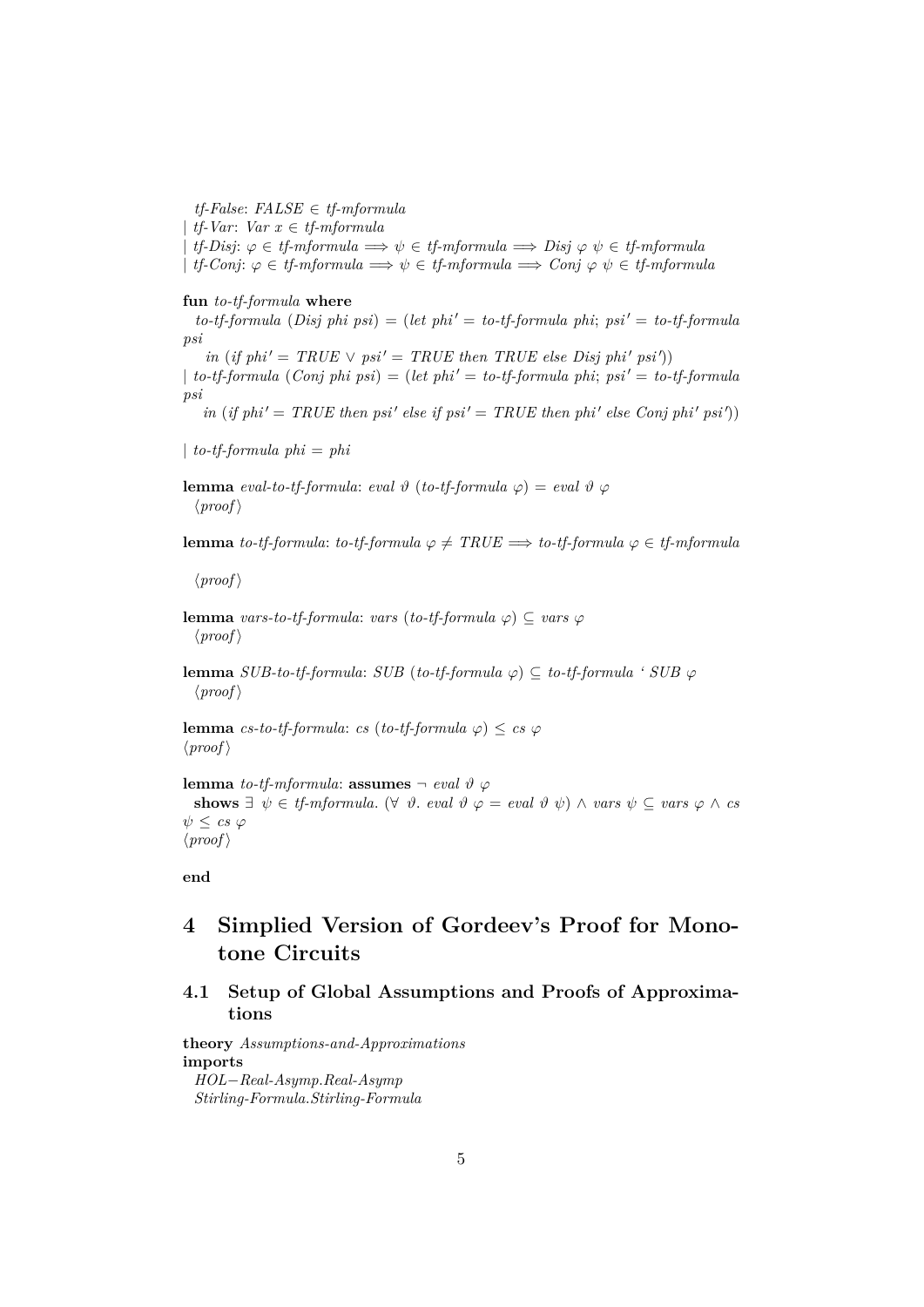*tf-False*: *FALSE* ∈ *tf-mformula* | *tf-Var*: *Var x* ∈ *tf-mformula*  $tf\text{-}Disj: \varphi \in tf\text{-}mformula \implies \psi \in tf\text{-}mformula \implies Disj \varphi \psi \in tf\text{-}mformula$  $\mid$  *tf-Conj*:  $\varphi \in \text{tf-mformula} \implies \psi \in \text{tf-mformula} \implies \text{Conj } \varphi \psi \in \text{tf-mformula}$ 

#### **fun** *to-tf-formula* **where**

 $to$ -*tf-formula* (*Disj phi psi*) = (*let phi'* = *to-tf-formula phi*;  $psi' = to$ -*tf-formula psi*

 $in (if phi' = TRUE \vee psi' = TRUE then TRUE else Disj phi' psi')$ 

 $\downarrow$  *to-tf-formula* (*Conj phi psi*) = (*let phi'* = *to-tf-formula phi*; *psi'* = *to-tf-formula psi*

 $\int$ *in* (*if phi*  $' = TRUE$  *then psi*  $'$  *else if psi*  $' = TRUE$  *then phi*  $'$  *else Conj phi*  $'$  *psi*  $')$ 

| *to-tf-formula phi* = *phi*

**lemma** *eval-to-tf-formula: eval*  $\vartheta$  (*to-tf-formula*  $\varphi$ ) = *eval*  $\vartheta$   $\varphi$  $\langle proof \rangle$ 

**lemma** *to-tf-formula*: *to-tf-formula*  $\varphi \neq TRUE \implies$  *to-tf-formula*  $\varphi \in tf\text{-}mformula$ 

 $\langle proof \rangle$ 

**lemma** *vars-to-tf-formula*: *vars* (*to-tf-formula*  $\varphi$ )  $\subseteq$  *vars*  $\varphi$  $\langle proof \rangle$ 

**lemma** *SUB-to-tf-formula: SUB* (*to-tf-formula*  $\varphi$ ) ⊂ *to-tf-formula ' SUB*  $\varphi$  $\langle proof \rangle$ 

**lemma** *cs-to-tf-formula*: *cs* (*to-tf-formula*  $\varphi$ ) < *cs*  $\varphi$  $\langle proof \rangle$ 

**lemma** *to-tf-mformula*: **assumes**  $\neg$  *eval*  $\vartheta \varphi$ shows  $\exists \psi \in \text{tf{\text{-}mformula.}} \; (\forall \psi \in \text{eval } \vartheta \varphi = \text{eval } \vartheta \psi) \land \text{vars } \psi \subseteq \text{vars } \varphi \land \text{cs}$  $\psi \leq cs \varphi$  $\langle proof \rangle$ 

**end**

# <span id="page-4-0"></span>**4 Simplied Version of Gordeev's Proof for Monotone Circuits**

# <span id="page-4-1"></span>**4.1 Setup of Global Assumptions and Proofs of Approximations**

**theory** *Assumptions-and-Approximations* **imports** *HOL*−*Real-Asymp*.*Real-Asymp*

*Stirling-Formula*.*Stirling-Formula*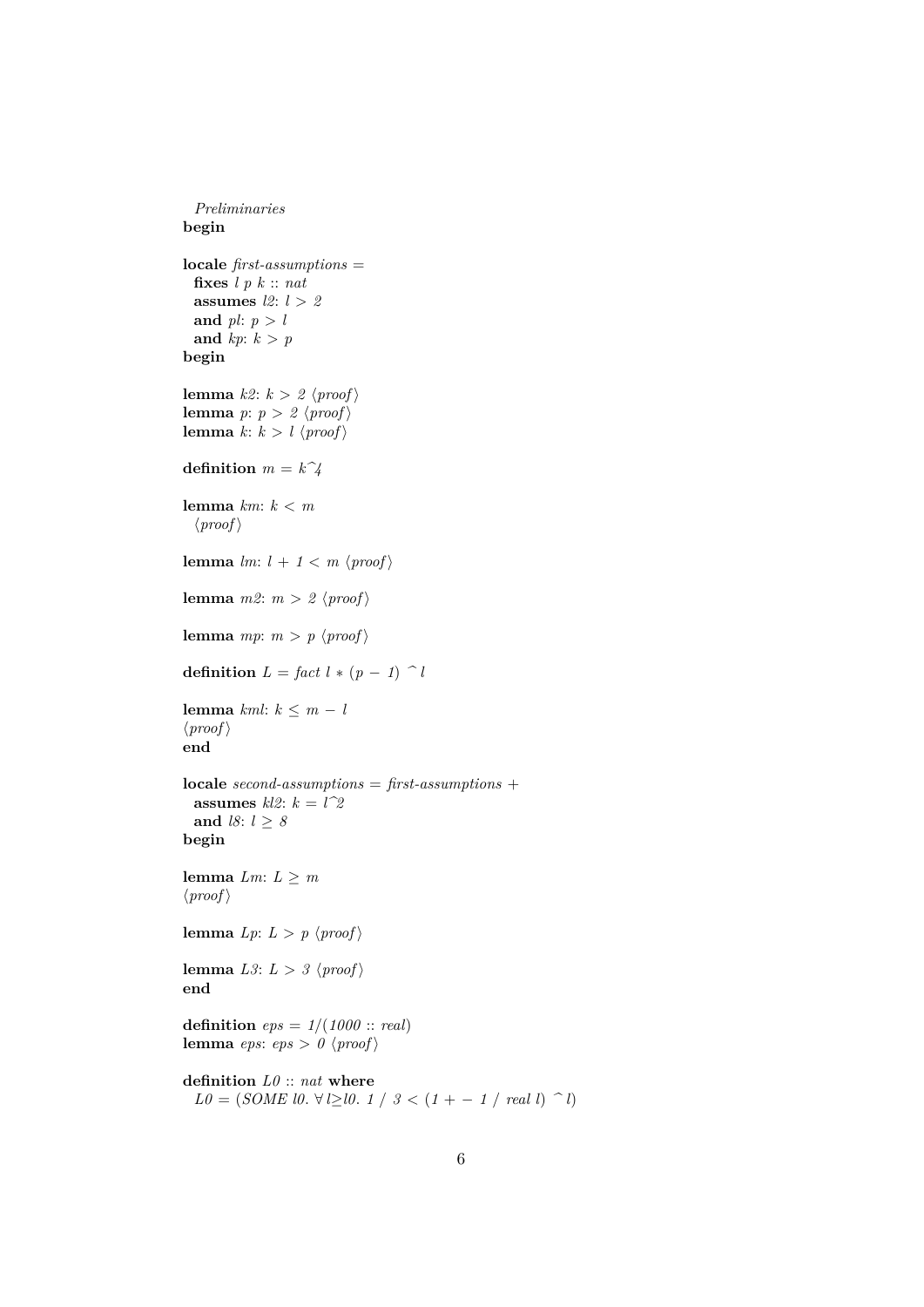*Preliminaries* **begin locale** *first-assumptions* = **fixes** *l p k* :: *nat* **assumes** *l2*: *l* > *2* and  $pl: p > l$ and  $kp: k > p$ **begin lemma**  $k2: k > 2$   $\langle proof \rangle$ **lemma** *p*:  $p > 2$   $\langle proof \rangle$ **lemma**  $k: k > l \langle proof \rangle$ **definition**  $m = k^2/4$ **lemma** *km*: *k* < *m*  $\langle proof \rangle$ **lemma**  $lm: l + 1 < m \ (proof)$ **lemma**  $m2$ :  $m > 2$   $\langle proof \rangle$ **lemma**  $mp: m > p \langle proof \rangle$ **definition**  $L = \int act \, l * (p - 1) \cap l$ **lemma**  $km!: k \leq m - l$  $\langle proof \rangle$ **end locale** *second-assumptions* = *first-assumptions* + **assumes**  $kl2$ :  $k = l^22$ and *l8*:  $l \geq 8$ **begin lemma**  $Lm: L \geq m$  $\langle proof \rangle$ **lemma**  $Lp: L > p \langle proof \rangle$ **lemma** *L3*:  $L > 3$   $\langle proof \rangle$ **end definition**  $eps = 1/(1000::real)$ **lemma** *eps*:  $eps > 0$   $\langle proof \rangle$ **definition** *L0* :: *nat* **where**

 $L0 = (SOME \, 10. \, \forall l \geq 10. \, 1 \, / \, 3 \lt (1 - 1 \, / \, \text{real} \, l) \, \hat{} \, 1)$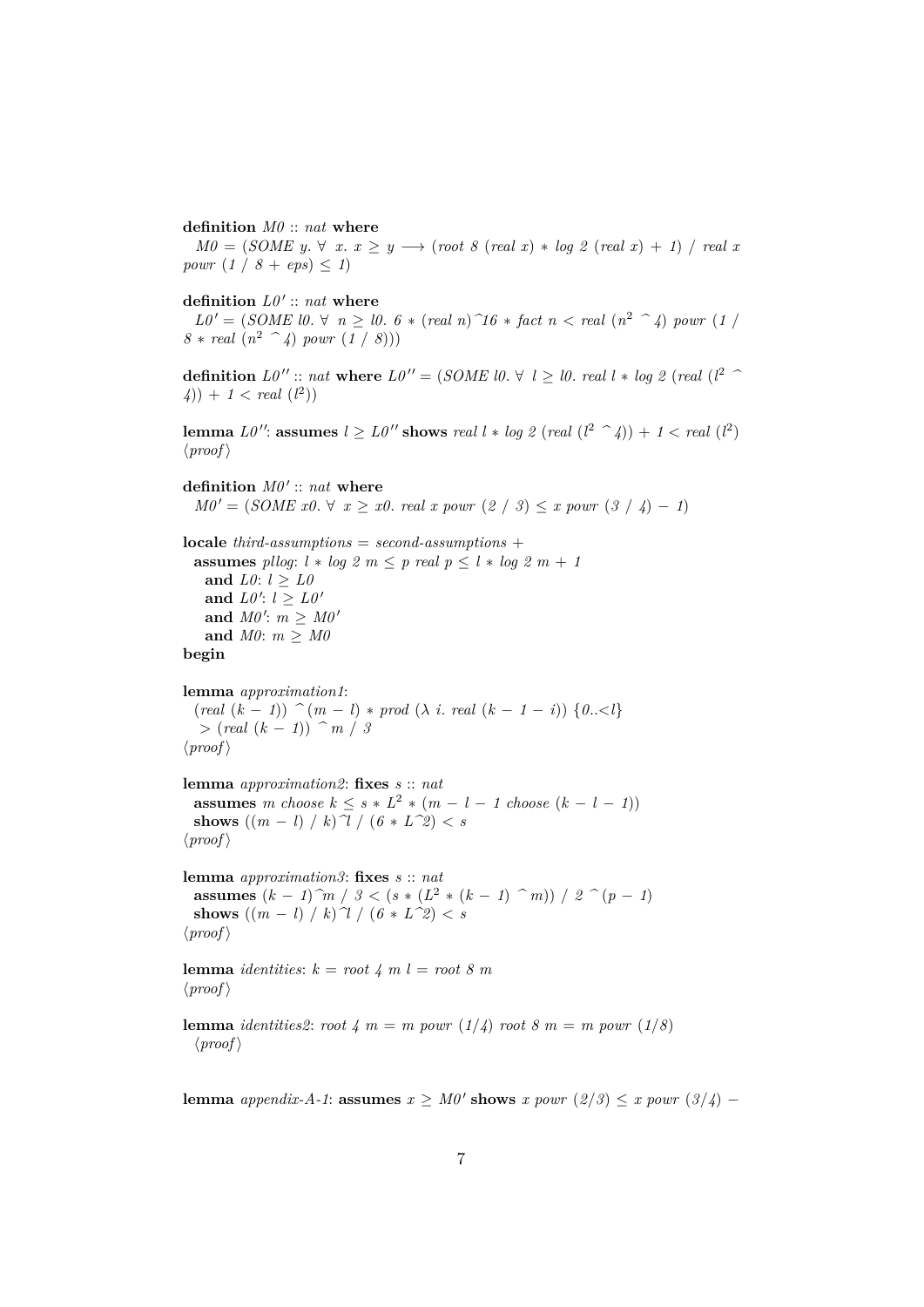**definition** *M0* :: *nat* **where**

 $M0 = (SOME y. \forall x. x \ge y \rightarrow (root 8 (real x) * log 2 (real x) + 1) / real x$ *powr*  $(1 / 8 + eps) \le 1$ 

definition  $L0' :: nat$  where

 $L0' = (SOME \ 10. \ \forall \ n \geq 10. \ 6 * (real \ n) \ \hat{\;} 16 * fact \ n < real \ (n^2 \ \hat{\;} 4) \ pour \ (1)$  $8 * real (n^2 \text{ }^{\sim} 4) power (1 / 8))$ 

**definition** *L0* <sup>00</sup> :: *nat* **where** *L0* <sup>00</sup> = (*SOME l0*. ∀ *l* ≥ *l0*. *real l* ∗ *log 2* (*real* (*l* <sup>2</sup> *^*  $(4)$  + 1 < *real*  $(l^2)$ 

**lemma**  $L0''$ : **assumes**  $l \ge L0''$  shows *real*  $l * log 2$  (*real*  $(l^2 \rightharpoonup 4)$ ) +  $1 < real$  ( $l^2$ )  $\langle proof \rangle$ 

definition  $M0' :: nat$  where  $M0' = (SOME \ x0. \ \forall \ x \geq x0. \ real \ x \ power \ (2 \ / \ 3) \leq x \ power \ (3 \ / \ 4) - 1)$ 

**locale** *third-assumptions* = *second-assumptions* + **assumes** *pllog*:  $l * log 2 m \leq p$  *real*  $p \leq l * log 2 m + 1$ and *L0*:  $l \geq L0$ and  $L0': l \geq L0'$ and  $M0'$ :  $m \geq M0'$ and  $M0: m \geq M0$ 

**begin**

**lemma** *approximation1*:  $(\text{real } (k-1))$   $\hat{(m-1)} * \text{prod } (\lambda i \cdot \text{real } (k-1-i))$   $\{0..\leq l\}$ >  $(\text{real } (k - 1))$   $\hat{m}$  / 3  $\langle proof \rangle$ 

**lemma** *approximation2*: **fixes** *s* :: *nat* **assumes** *m* choose  $k \leq s * L^2 * (m - l - 1 \text{ choose } (k - l - 1))$ **shows**  $((m - l) / k)$   $\mathcal{U} / (6 * L^2) < s$  $\langle proof \rangle$ 

**lemma** *approximation3*: **fixes** *s* :: *nat* **assumes**  $(k - 1)$ <sup>2</sup>*m* / 3 <  $(s * (L^2 * (k - 1)$ <sup>2</sup>*m*) / 2<sup>2</sup> $(p - 1)$ **shows**  $((m - l) / k)$   $\gamma / (6 * L^2) < s$  $\langle proof \rangle$ 

**lemma** *identities*:  $k = root 4$  *m*  $l = root 8$  *m*  $\langle proof \rangle$ 

**lemma** *identities2*: *root*  $4 \text{ } m = m$  *powr* ( $1/4$ ) *root*  $8 \text{ } m = m$  *powr* ( $1/8$ )  $\langle proof \rangle$ 

**lemma** *appendix-A-1*: **assumes**  $x \geq M0'$  **shows**  $x$  *powr* (2/3)  $\leq x$  *powr* (3/4) −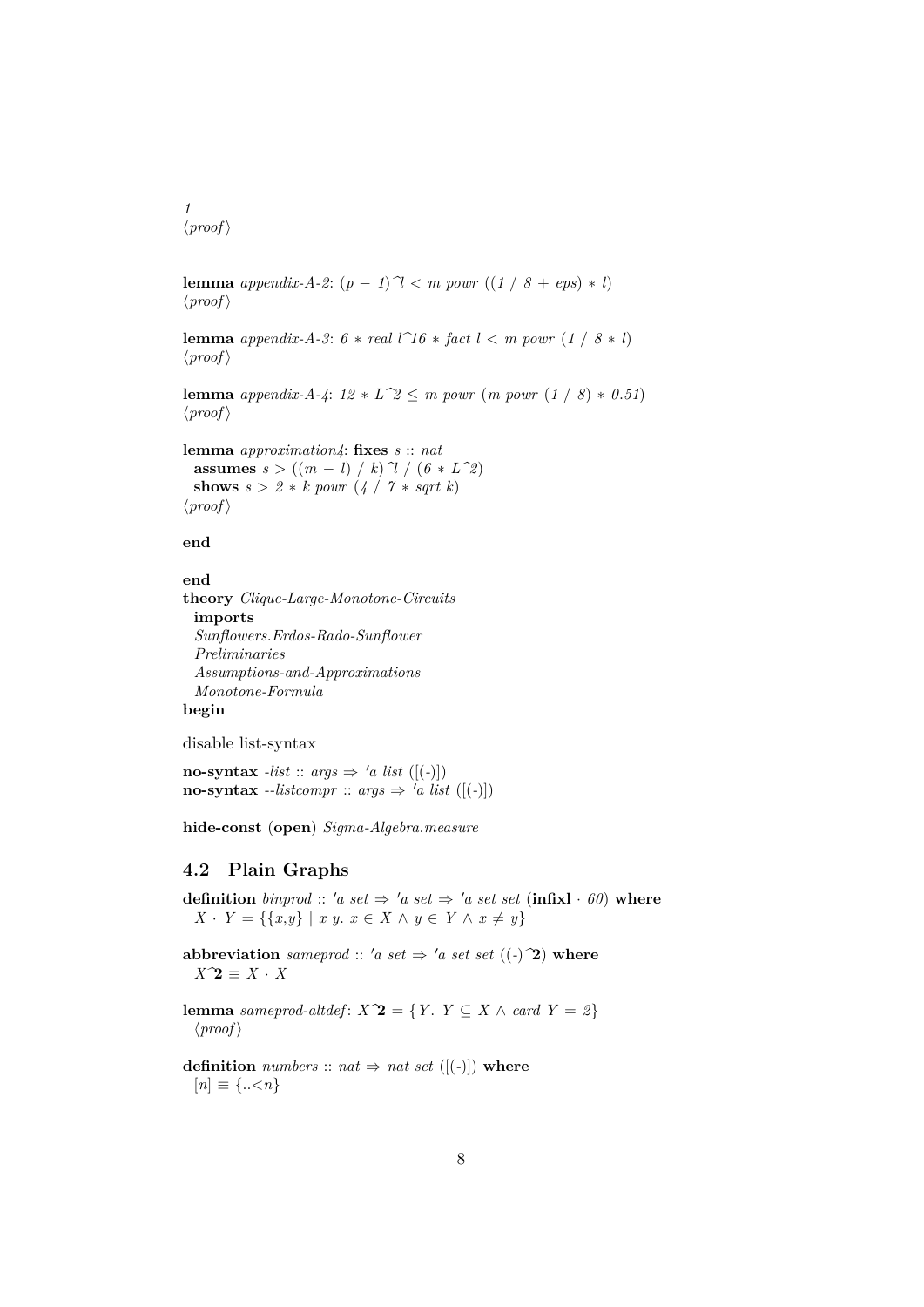*1*  $\langle proof \rangle$ 

**lemma** *appendix-A-2*:  $(p - 1)^{\gamma}$  < *m powr*  $((1 / 8 + eps) * l)$  $\langle proof \rangle$ 

**lemma** *appendix-A-3*:  $6 * real l^16 * fact l < m$  *powr*  $(1 / 8 * l)$  $\langle proof \rangle$ 

**lemma** *appendix-A-4*:  $12 * L^2 \le m$  *powr*  $(m$  *powr*  $(1 / 8) * 0.51)$  $\langle proof \rangle$ 

**lemma** *approximation4*: **fixes** *s* :: *nat* **assumes**  $s > ((m - l) / k)$   $\gamma / (6 * L^2)$ **shows**  $s > 2 * k$  *powr*  $(4 / 7 * sqrt k)$  $\langle proof \rangle$ 

#### **end**

```
end
theory Clique-Large-Monotone-Circuits
 imports
 Sunflowers.Erdos-Rado-Sunflower
 Preliminaries
 Assumptions-and-Approximations
 Monotone-Formula
begin
```
disable list-syntax

**no-syntax** *-list* :: *args*  $\Rightarrow$  '*a list* ([(-)]) **no-syntax**  $\text{-}listcompr :: args \Rightarrow 'a list ([(-)])$ 

**hide-const** (**open**) *Sigma-Algebra*.*measure*

### <span id="page-7-0"></span>**4.2 Plain Graphs**

**definition** *binprod* :: 'a set  $\Rightarrow$  'a set  $\Rightarrow$  'a set set (**infix**l · 60) **where** *X* · *Y* = {{*x,y*} | *x y. x* ∈ *X* ∧ *y* ∈ *Y* ∧ *x* ≠ *y*}

**abbreviation** *sameprod* :: 'a set  $\Rightarrow$  'a set set ((-)<sup> $\hat{ }$ </sup>) where *X^*2 ≡ *X* · *X*

**lemma** *sameprod-altdef*:  $X^2 = \{Y : Y \subseteq X \land \text{card } Y = 2\}$  $\langle proof \rangle$ 

**definition** *numbers* :: *nat*  $\Rightarrow$  *nat set* ([(-)]) **where**  $[n] \equiv \{... \leq n\}$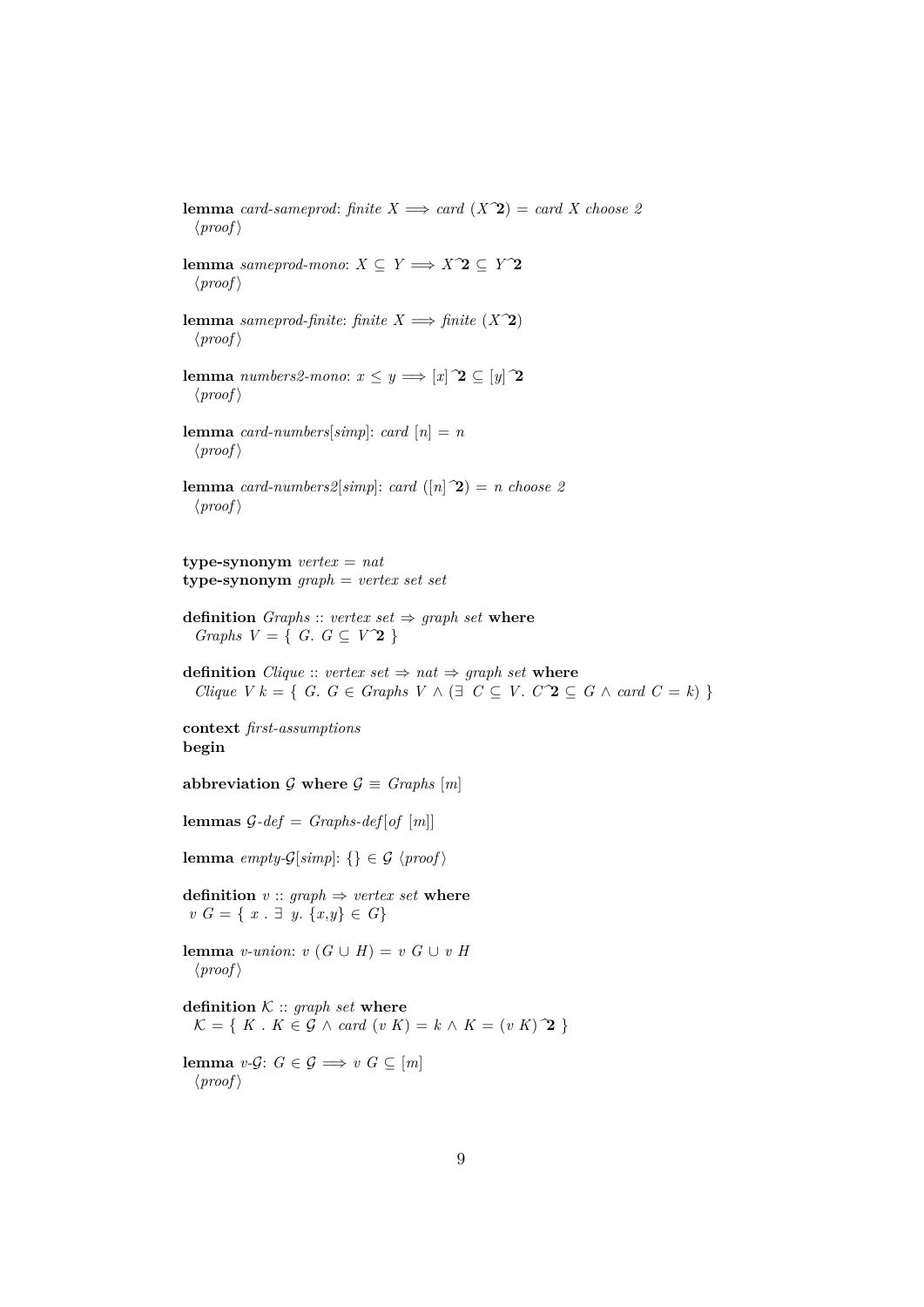**lemma** *card-sameprod: finite*  $X \implies$  *card*  $(X^2) =$  *card*  $X$  *choose 2*  $\langle proof \rangle$ **lemma** *sameprod-mono*:  $X \subseteq Y \implies X \hat{\mathbf{2}} \subseteq Y \hat{\mathbf{2}}$  $\langle proof \rangle$ **lemma** *sameprod-finite: finite*  $X \implies$  *finite*  $(X^2)$  $\langle proof \rangle$ **lemma** *numbers2-mono:*  $x \leq y \implies [x]$   $\mathbf{2} \subseteq [y]$   $\mathbf{2}$  $\langle proof \rangle$ **lemma** *card-numbers*[ $simp$ ]: *card*  $[n] = n$  $\langle proof \rangle$ **lemma** *card-numbers2*[*simp*]: *card* ([*n*]  $\hat{ }$ 2) = *n choose 2*  $\langle proof \rangle$ **type-synonym** *vertex* = *nat* **type-synonym** *graph* = *vertex set set* **definition** *Graphs* :: *vertex set*  $\Rightarrow$  *graph set* **where** *Graphs V* = { *G*.  $G \subseteq V^2$ } **definition** *Clique* :: *vertex set*  $\Rightarrow$  *nat*  $\Rightarrow$  *graph set* **where** *Clique V k* = {  $G \in Graphs$   $V \wedge (\exists C \subseteq V \cup C^2 \subseteq G \wedge card C = k)$  } **context** *first-assumptions* **begin** abbreviation  $G$  where  $G \equiv Graphs$  [*m*] **lemmas**  $G$ -def = *Graphs*-def [of  $[m]$ ] **lemma** *empty-G*[ $simp$ ]: {}  $\in \mathcal{G}$   $\langle proof \rangle$ **definition**  $v$  :: *graph*  $\Rightarrow$  *vertex set* **where** *v G* = { *x* . ∃ *y*. {*x*,*y*} ∈ *G*} **lemma** *v-union*:  $v(G \cup H) = v(G \cup vH)$  $\langle proof \rangle$ **definition**  $K :: graph set$  **where**  $\mathcal{K} = \{ K : K \in \mathcal{G} \land \text{card}(v K) = k \land K = (v K) \hat{\mathbf{2}} \}$ **lemma** *v*-*G*:  $G \in \mathcal{G} \implies v \ G \subseteq [m]$  $\langle proof \rangle$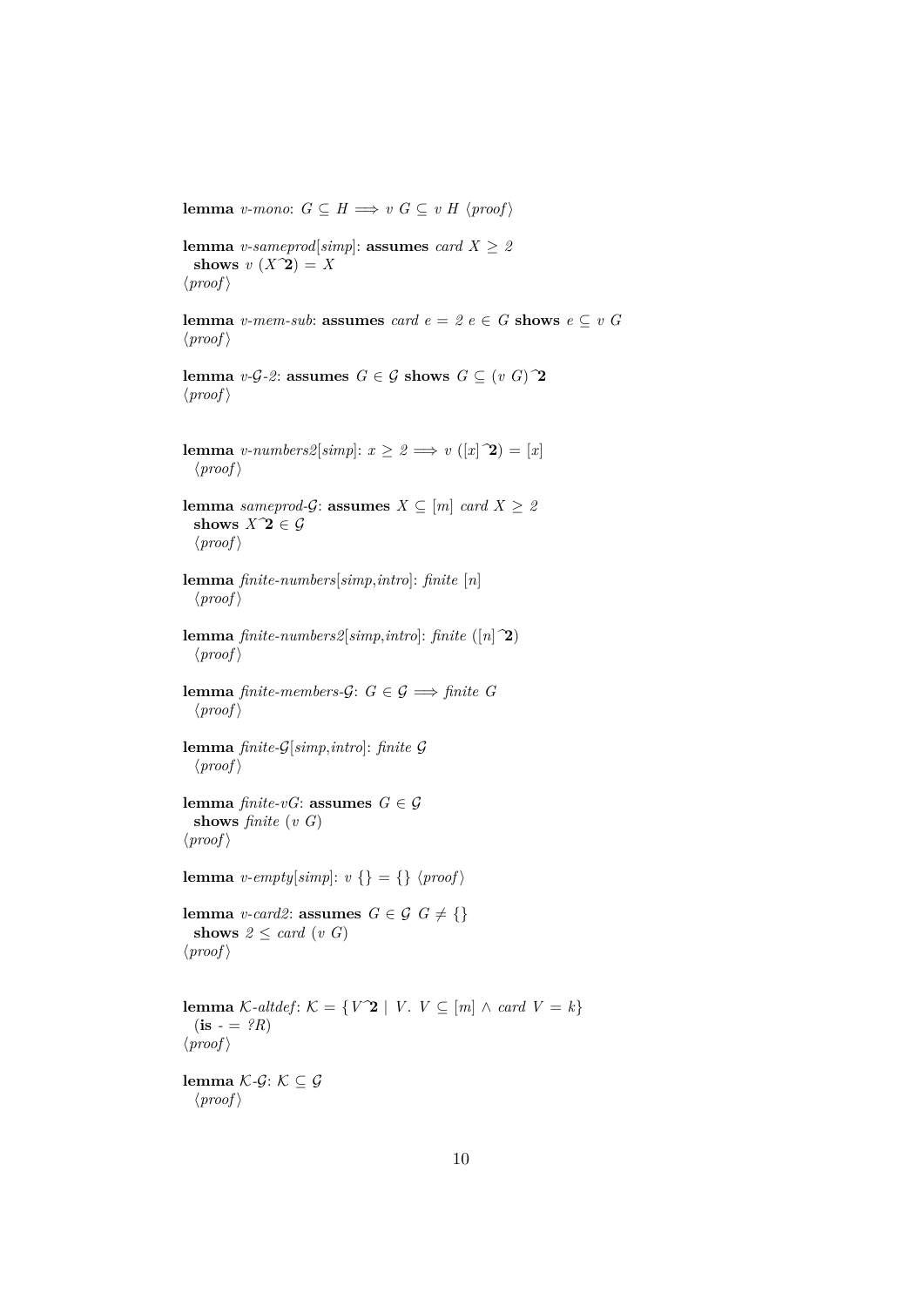**lemma** *v-mono*:  $G \subseteq H \Longrightarrow v \ G \subseteq v \ H \ \langle \text{proof} \rangle$ 

**lemma** *v-sameprod*[*simp*]: **assumes** *card*  $X \geq 2$ shows  $v(X^2) = X$  $\langle proof \rangle$ 

**lemma** *v-mem-sub*: **assumes** *card*  $e = 2$   $e \in G$  **shows**  $e \subseteq v$  *G*  $\langle proof \rangle$ 

**lemma** *v*-*G*-2: **assumes**  $G \in \mathcal{G}$  **shows**  $G \subseteq (v \ G)$ <sup>2</sup>  $\langle proof \rangle$ 

**lemma** *v-numbers2*[*simp*]:  $x \geq 2 \implies v([x|\mathbf{2}) = [x])$  $\langle proof \rangle$ 

**lemma** *sameprod-G*: **assumes**  $X \subseteq [m]$  *card*  $X \geq 2$ shows  $X^{\hat{}}2 \in \mathcal{G}$  $\langle proof \rangle$ 

**lemma** *finite-numbers*[*simp*,*intro*]: *finite* [*n*]  $\langle proof \rangle$ 

**lemma** *finite-numbers2*[*simp*,*intro*]: *finite* ([*n*]*^*2)  $\langle proof \rangle$ 

**lemma** *finite-members-G*:  $G \in \mathcal{G} \implies$  *finite* G  $\langle proof \rangle$ 

**lemma** *finite-*G[*simp*,*intro*]: *finite* G  $\langle proof \rangle$ 

**lemma** *finite-vG*: **assumes**  $G \in \mathcal{G}$ **shows** *finite* (*v G*)  $\langle proof \rangle$ 

**lemma** *v-empty*[ $simp$ ]:  $v \}$  = {}  $\langle proof \rangle$ 

**lemma** *v-card2*: **assumes**  $G \in \mathcal{G}$   $G \neq \{\}$ **shows**  $2 \leq card(v \ G)$  $\langle proof \rangle$ 

**lemma** K-altdef: K = { $V^2$  | *V*.  $V \subseteq [m] \land \text{card } V = k$ }  $(i\mathbf{s} - \mathbf{B} \cdot R)$  $\langle proof \rangle$ 

**lemma**  $K$ -*G*:  $K$  ⊂ *G*  $\langle proof \rangle$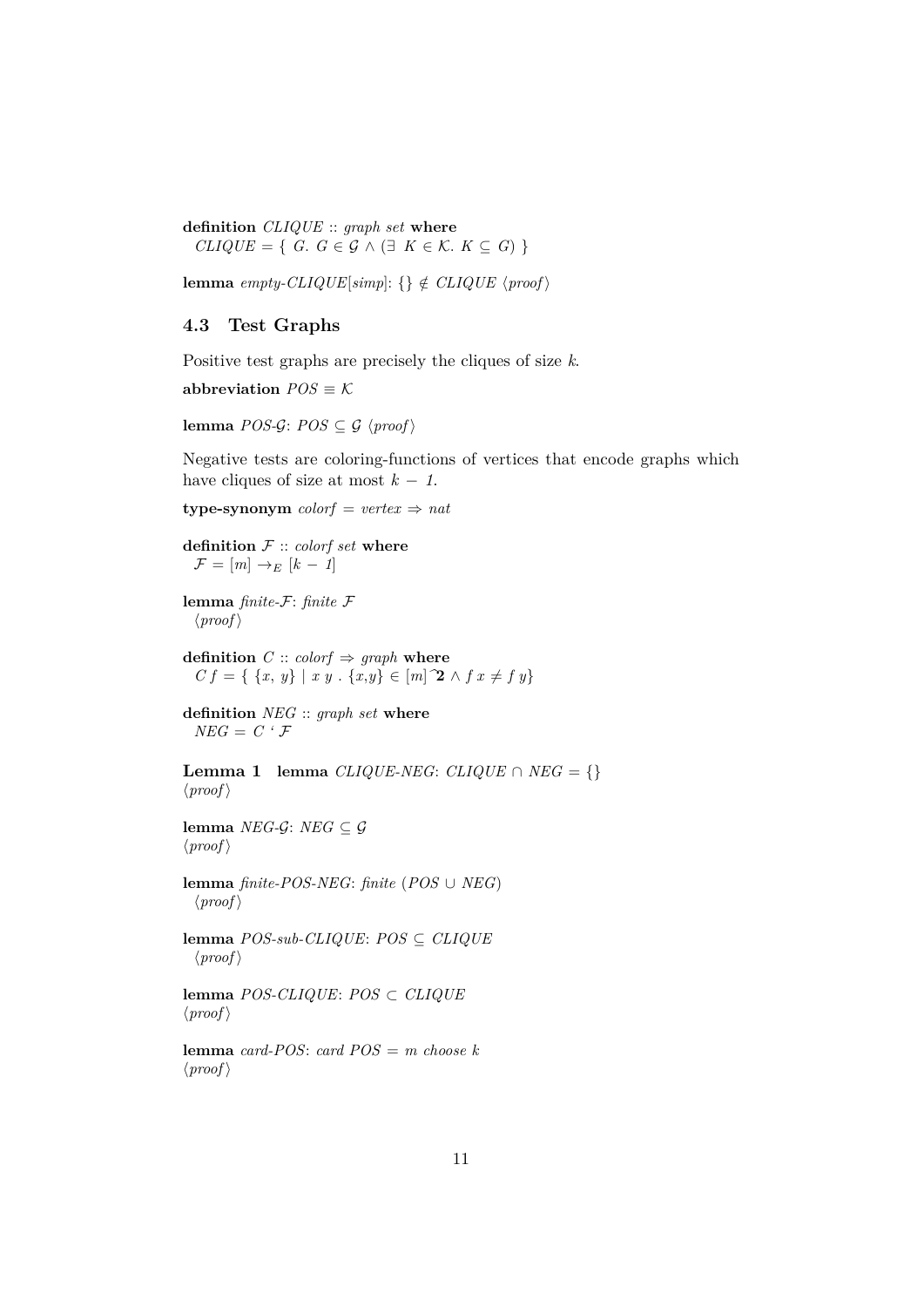**definition** *CLIQUE* :: *graph set* **where**  $CLIQUE = \{ G. G \in \mathcal{G} \wedge (\exists K \in \mathcal{K} \cup K \subseteq G) \}$ 

**lemma** *empty-CLIQUE*[ $simp$ ]: {}  $\notin$  *CLIQUE*  $\langle proof \rangle$ 

### <span id="page-10-0"></span>**4.3 Test Graphs**

Positive test graphs are precisely the cliques of size *k*.

abbreviation  $POS \equiv K$ 

**lemma** *POS-G*: *POS*  $\subset$  *G*  $\langle$ *proof* $\rangle$ 

Negative tests are coloring-functions of vertices that encode graphs which have cliques of size at most  $k - 1$ .

**type-synonym**  $color = vertex \Rightarrow nat$ 

**definition** F :: *colorf set* **where**  $\mathcal{F} = [m] \rightarrow_E [k-1]$ 

**lemma** *finite-*F: *finite* F  $\langle proof \rangle$ 

**definition**  $C :: color f \Rightarrow graph$  **where**  $C f = \{ \{x, y\} \mid x y \cdot \{x, y\} \in [m]$   $\mathbf{2} \wedge f x \neq f y \}$ 

**definition** *NEG* :: *graph set* **where**  $NEG = C \cdot \mathcal{F}$ 

**Lemma 1 lemma**  $CLIQUE-NEG: CLIQUE \cap NEG = \{\}$  $\langle proof \rangle$ 

**lemma** *NEG-G*: *NEG*  $\subseteq$  *G*  $\langle proof \rangle$ 

**lemma** *finite-POS-NEG*: *finite* (*POS* ∪ *NEG*)  $\langle proof \rangle$ 

**lemma** *POS-sub-CLIQUE*: *POS* ⊆ *CLIQUE*  $\langle proof \rangle$ 

**lemma** *POS-CLIQUE*: *POS* ⊂ *CLIQUE*  $\langle proof \rangle$ 

**lemma** *card-POS*: *card POS* = *m choose k*  $\langle proof \rangle$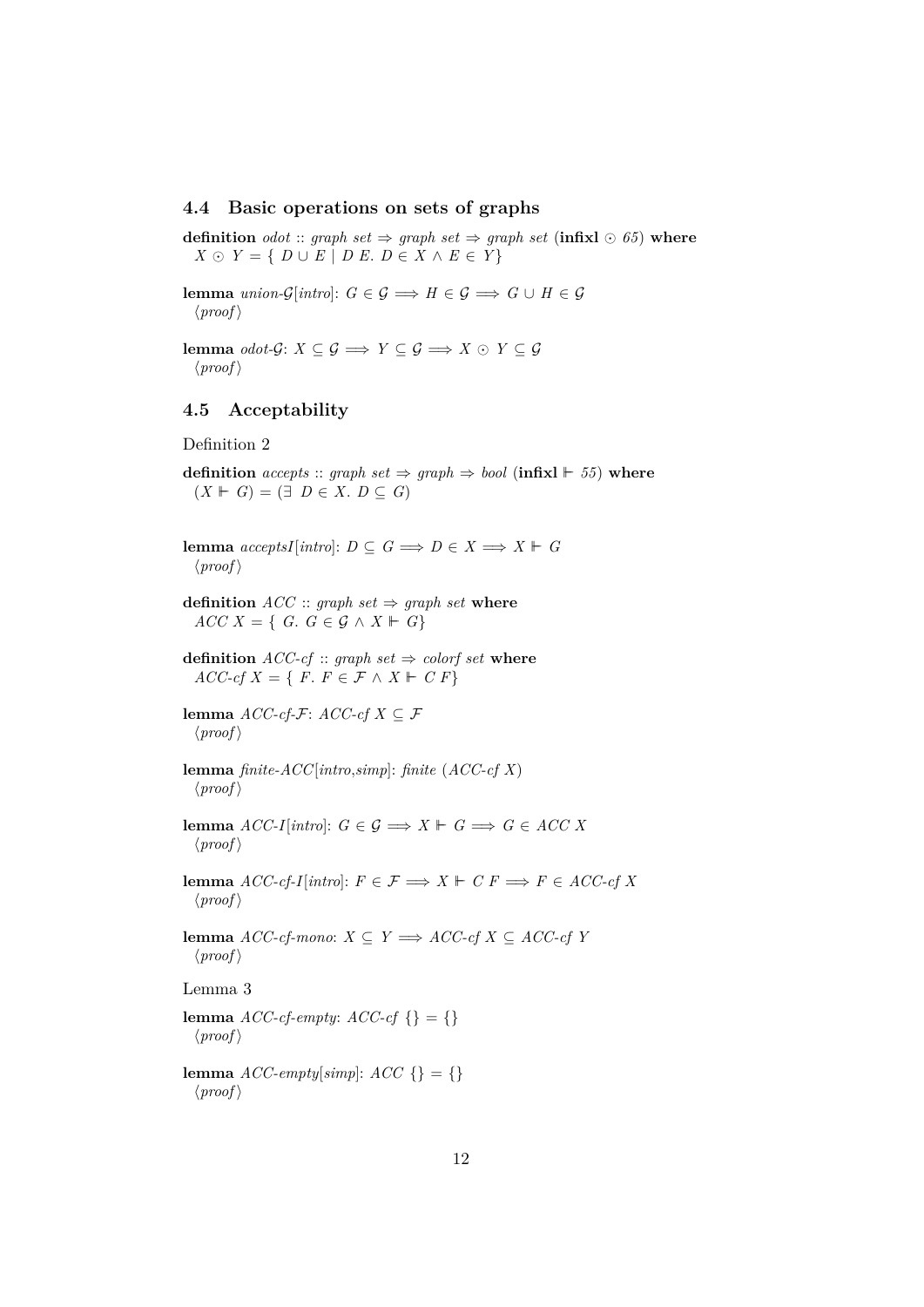### <span id="page-11-0"></span>**4.4 Basic operations on sets of graphs**

**definition** *odot* :: *graph set*  $\Rightarrow$  *graph set*  $\Rightarrow$  *graph set* (**infixl**  $\odot$  65) **where**  $X \odot Y = \{ D \cup E \mid D E, D \in X \wedge E \in Y \}$ 

**lemma** *union-G*[*intro*]:  $G \in \mathcal{G} \implies H \in \mathcal{G} \implies G \cup H \in \mathcal{G}$  $\langle proof \rangle$ 

**lemma** *odot-G*: *X* ⊆ *G*  $\implies$  *Y* ⊆ *G*  $\implies$  *X* ⊙ *Y* ⊆ *G*  $\langle proof \rangle$ 

### <span id="page-11-1"></span>**4.5 Acceptability**

Definition 2

**definition** *accepts* :: *graph set*  $\Rightarrow$  *graph*  $\Rightarrow$  *bool* (**infixl**  $\vdash$  55) **where**  $(X \vDash G) = (\exists D \in X, D \subseteq G)$ 

**lemma**  $acceptsI[intro]: D \subseteq G \implies D \in X \implies X \vdash G$  $\langle proof \rangle$ 

**definition**  $ACC :: graph set \Rightarrow graph set$  where  $ACC X = \{ G : G \in \mathcal{G} \wedge X \vdash G \}$ 

**definition**  $ACC\text{-}cf$  :: *graph set*  $\Rightarrow$  *colorf set* **where**  $ACC-cf X = \{ F \colon F \in \mathcal{F} \land X \vdash C F \}$ 

**lemma** *ACC-cf-F*: *ACC-cf X* ⊆ *F*  $\langle proof \rangle$ 

**lemma** *finite-ACC*[*intro*,*simp*]: *finite* (*ACC-cf X*)  $\langle proof \rangle$ 

**lemma**  $ACC-I[intro]: G \in \mathcal{G} \implies X \vdash G \implies G \in ACC X$  $\langle proof \rangle$ 

**lemma**  $ACC\text{-}cf\text{-}I[intro]: F \in \mathcal{F} \Longrightarrow X \Vdash C F \Longrightarrow F \in ACC\text{-}cf X$  $\langle proof \rangle$ 

**lemma** *ACC-cf-mono*: *X* ⊆ *Y*  $\implies$  *ACC-cf X* ⊆ *ACC-cf Y*  $\langle proof \rangle$ 

Lemma 3

**lemma**  $ACC\text{-}cf\text{-}empty: ACC\text{-}cf\{\} = \{\}$  $\langle proof \rangle$ 

**lemma**  $\text{ACC-empty}[\text{simp}]: \text{ACC} \{\} = \{\}$  $\langle proof \rangle$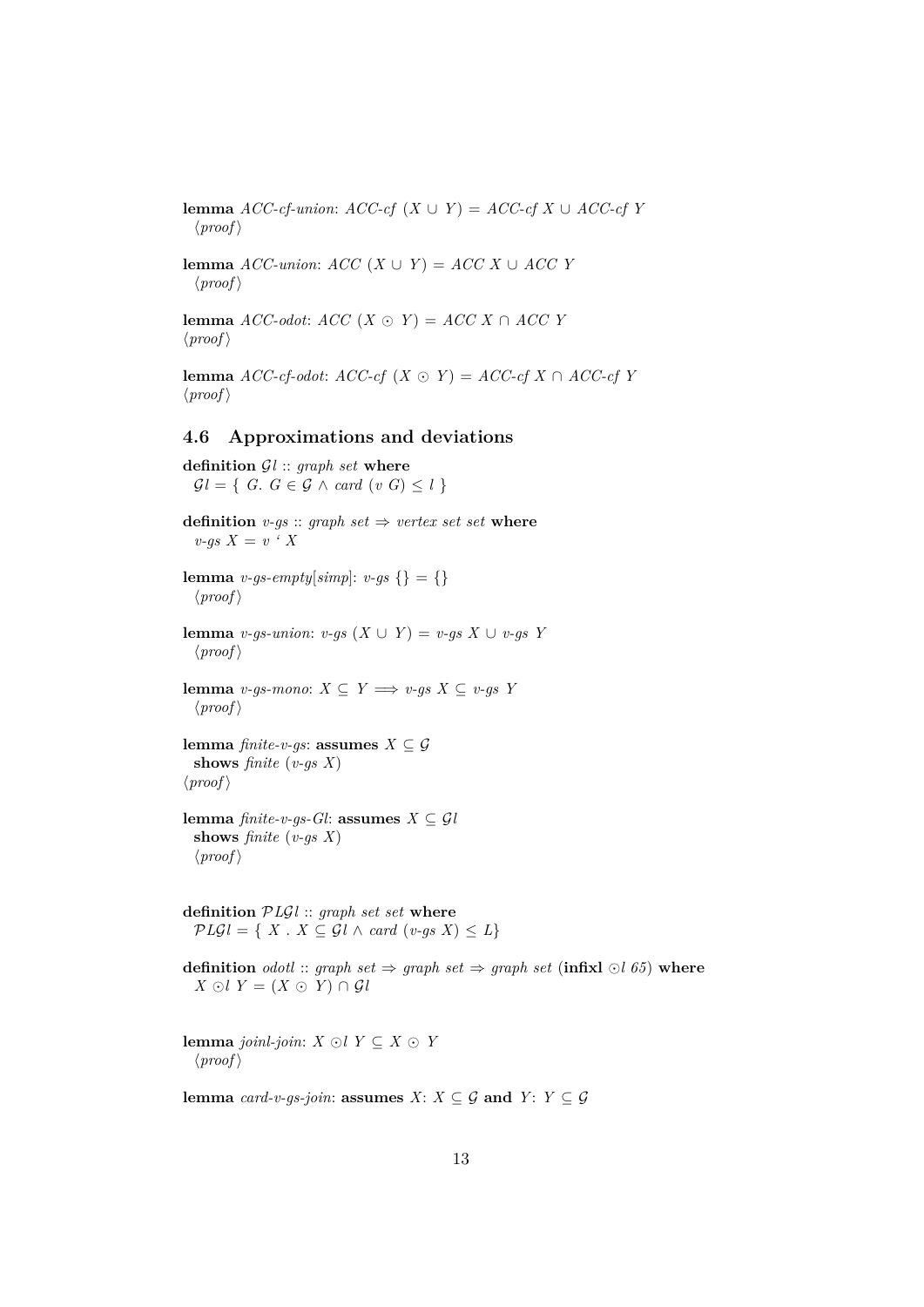**lemma** *ACC-cf-union*:  $ACC\text{-}cf$  ( $X \cup Y$ ) =  $ACC\text{-}cf X \cup ACC\text{-}cf Y$  $\langle proof \rangle$ 

**lemma**  $ACC\text{-}union: ACC(X \cup Y) = ACC X \cup ACC Y$  $\langle proof \rangle$ 

**lemma** *ACC-odot: ACC* (*X* ⊙ *Y*) = *ACC X* ∩ *ACC Y*  $\langle proof \rangle$ 

**lemma**  $ACC\text{-}cf\text{-}odot: ACC\text{-}cf(X \odot Y) = ACC\text{-}cf(X \cap ACC\text{-}cf(Y))$  $\langle proof \rangle$ 

## <span id="page-12-0"></span>**4.6 Approximations and deviations**

**definition** G*l* :: *graph set* **where**  $Gl = \{ G$ .  $G \in \mathcal{G} \land \text{card } (v \ G) \leq l \}$ **definition**  $v-gs$  :: *graph set*  $\Rightarrow$  *vertex set set* **where** *v-gs*  $X = v \cdot X$ **lemma** *v-gs-empty*[ $simp$ ]: *v-gs* {} = {}  $\langle proof \rangle$ **lemma** *v-gs-union*: *v-gs* (*X* ∪ *Y*) = *v-gs X* ∪ *v-gs Y*  $\langle proof \rangle$ **lemma** *v-qs-mono*: *X* ⊂ *Y*  $\implies$  *v-qs X* ⊂ *v-qs Y*  $\langle proof \rangle$ **lemma** *finite-v-gs*: **assumes**  $X \subseteq \mathcal{G}$ **shows** *finite* (*v-gs X*)  $\langle proof \rangle$ **lemma** *finite-v-gs-Gl*: **assumes**  $X \subseteq \mathcal{G}l$ **shows** *finite* (*v-gs X*)  $\langle proof \rangle$ **definition** P*L*G*l* :: *graph set set* **where**  $PLGl = \{ X \cdot X \subseteq Gl \wedge card (v-gs X) \leq L \}$ **definition** *odotl* :: *graph set*  $\Rightarrow$  *graph set*  $\Rightarrow$  *graph set* (**infixl**  $\odot$ *l* 65) **where**  $X \odot l Y = (X \odot Y) \cap \mathcal{G}l$ **lemma** *joinl-join*: *X* ⊙*l Y* ⊆ *X* ⊙ *Y*  $\langle proof \rangle$ 

**lemma** *card-v-qs-join*: **assumes**  $X: X \subseteq G$  **and**  $Y: Y \subseteq G$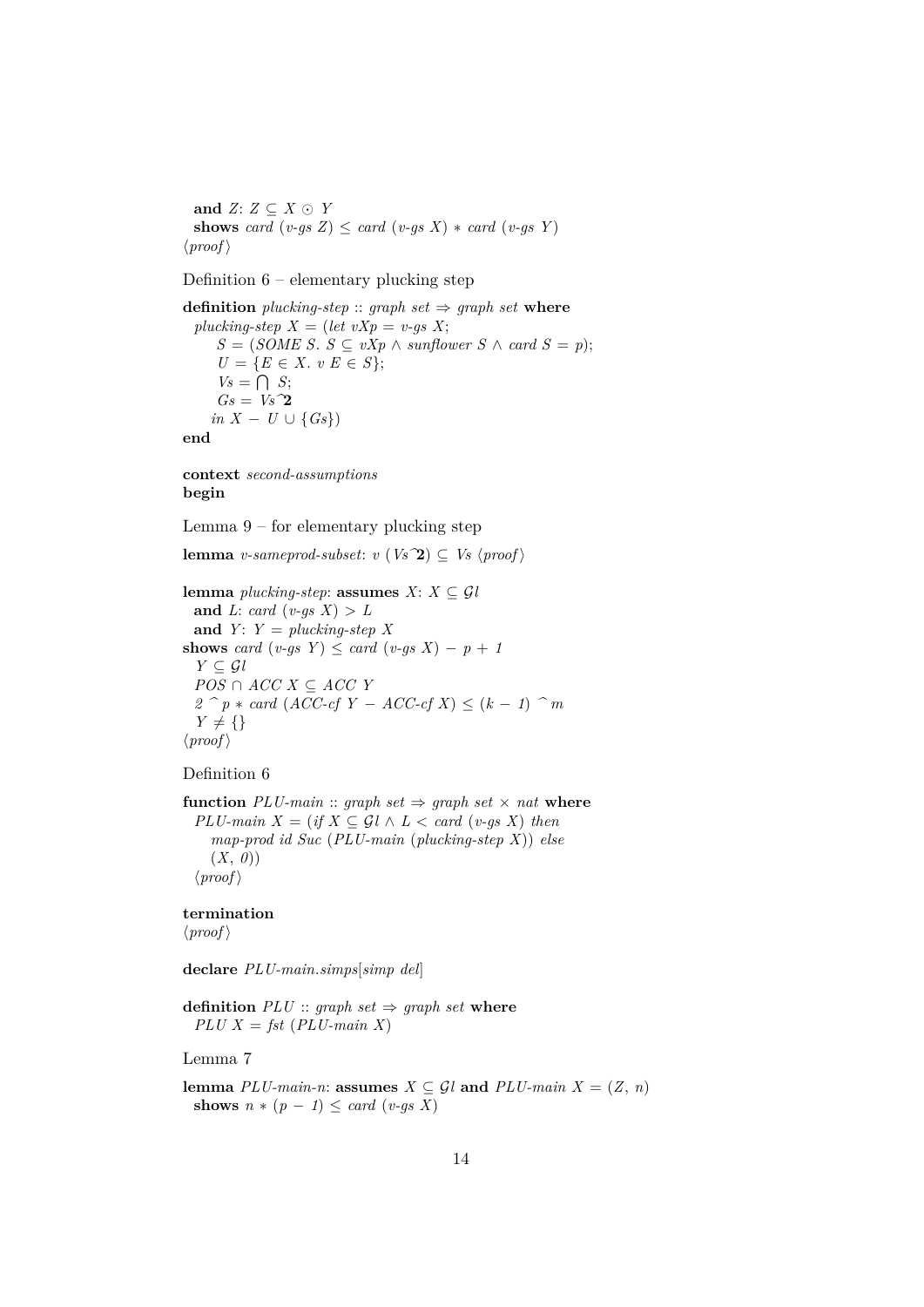**and**  $Z: Z \subseteq X \odot Y$ **shows** *card*  $(v-gs Z) \leq card (v-gs X) * card (v-gs Y)$  $\langle proof \rangle$ 

Definition 6 – elementary plucking step

**definition** *plucking-step* :: *graph set*  $\Rightarrow$  *graph set* **where** *plucking-step*  $X = (let vXp = v-gs X;$ *S* = (*SOME S*. *S* ⊆ *vXp* ∧ *sunflower S* ∧ *card S* = *p*);  $U = \{E \in X : v \ E \in S\};\$  $V_s = \bigcap S;$ *Gs* = *Vs^*2 *in*  $X - U \cup \{Gs\}$ **end**

**context** *second-assumptions* **begin**

Lemma 9 – for elementary plucking step

**lemma** *v*-sameprod-subset:  $v$  ( $Vs^2$ )  $\subset Vs$   $\langle proof \rangle$ 

**lemma** *plucking-step*: **assumes**  $X: X \subseteq \mathcal{G}$ *l* and *L*: *card* (*v-gs X*)  $> L$ and  $Y: Y = plucking-step X$ **shows** *card*  $(v-gs \ Y) \leq card \ (v-gs \ X) - p + 1$  $Y \subseteq \mathcal{G}l$ *POS* ∩ *ACC X* ⊆ *ACC Y 2*  $^{\frown}$  *p* ∗ *card* (*ACC-cf Y* − *ACC-cf X*) ≤ (*k* − *1*)  $^{\frown}$  *m*  $Y \neq \{\}$  $\langle proof \rangle$ 

Definition 6

**function**  $PLU\text{-}main::$  graph set  $\Rightarrow$  graph set  $\times$  nat where $PLU\text{-}main X = (if X \subseteq Gl \land L < card (v\text{-}gs X) then$ *map-prod id Suc* (*PLU-main* (*plucking-step X*)) *else* (*X*, *0*))  $\langle proof \rangle$ 

**termination**

 $\langle proof \rangle$ 

**declare** *PLU-main*.*simps*[*simp del*]

**definition**  $PLU$  :: *graph set*  $\Rightarrow$  *graph set* **where**  $PLU X = fst (PLU - main X)$ 

Lemma 7

**lemma**  $PLU$ -main-n: **assumes**  $X \subseteq \mathcal{G}l$  **and**  $PLU$ -main  $X = (Z, n)$ **shows**  $n * (p - 1) \leq card (v-gs X)$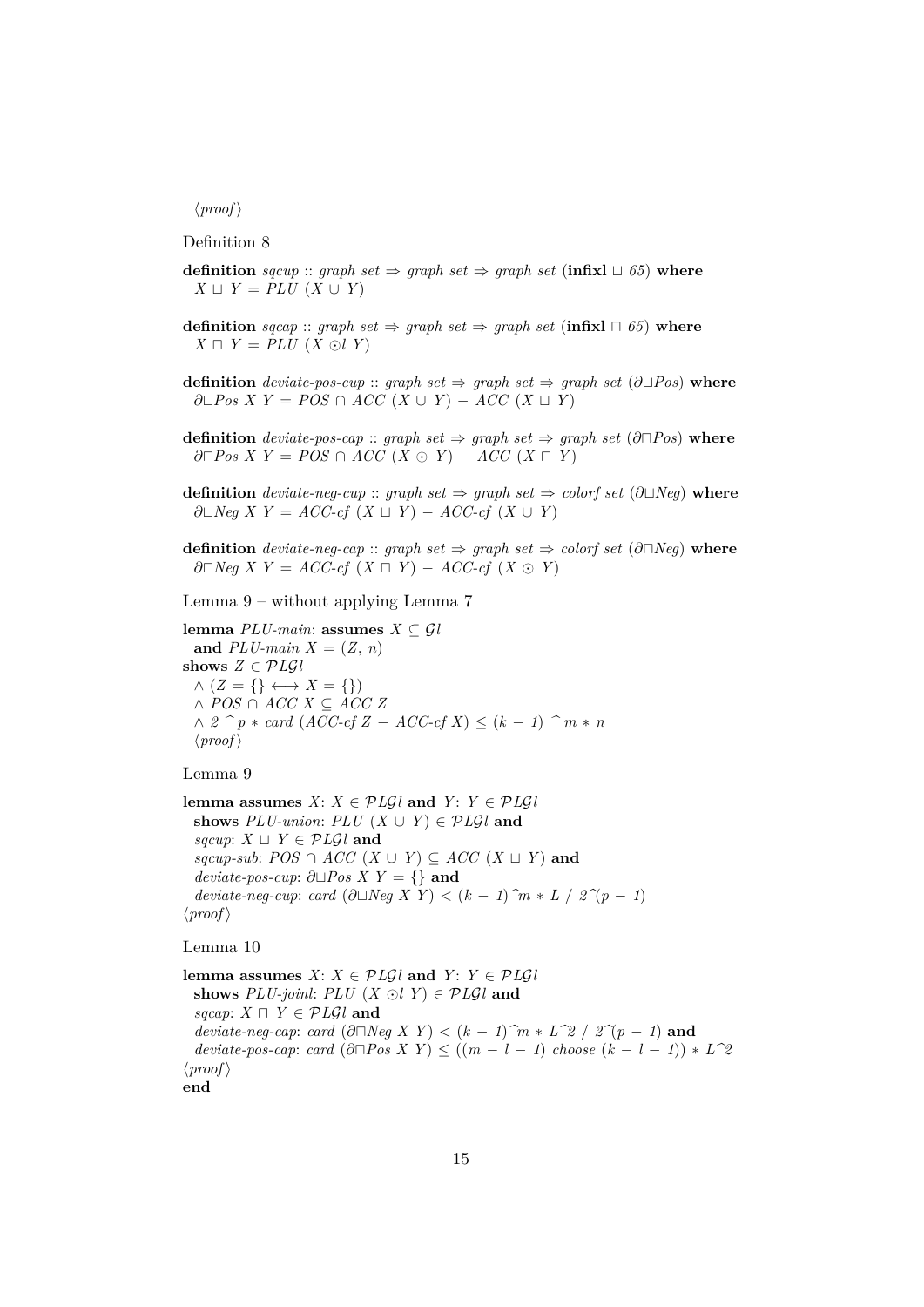#### $\langle proof \rangle$

Definition 8

- **definition** *sqcup* :: *graph set*  $\Rightarrow$  *graph set*  $\Rightarrow$  *graph set* (**infixl**  $\sqcup$  65) **where** *X*  $\sqcup$  *Y* = *PLU* (*X* ∪ *Y*)
- **definition**  $\text{sqcap}$  ::  $\text{graph set} \Rightarrow \text{graph set} \Rightarrow \text{graph set} (\text{infixl} \sqcap 65)$  where  $X \sqcap Y = PLU$   $(X \odot l Y)$
- **definition** *deviate-pos-cup* :: *graph set*  $\Rightarrow$  *graph set*  $\Rightarrow$  *graph set* ( $\partial \Box Pos$ ) **where**  $∂□Pos X Y = POS ∩ ACC (X ∪ Y) - ACC (X ∪ Y)$
- **definition** *deviate-pos-cap* :: *graph set*  $\Rightarrow$  *graph set*  $\Rightarrow$  *graph set* (∂ $\Box Pos$ ) **where**  $\partial \Box Pos X Y = POS \cap ACC (X \odot Y) - ACC (X \Box Y)$
- **definition** *deviate-neg-cup* :: *graph set*  $\Rightarrow$  *graph set*  $\Rightarrow$  *colorf set* (∂ $\Box$ *Neg*) **where**  $∂□Neg X Y = ACC-cf (X □ Y) - ACC-cf (X � ∪ Y)$
- **definition** *deviate-neg-cap* :: *graph set*  $\Rightarrow$  *graph set*  $\Rightarrow$  *colorf set* (∂ $\cap$ *Neg*) **where** ∂ $\Box Neg$  *X*  $Y = ACC\text{-}cf$  (*X*  $\Box$  *Y*) − *ACC*-cf (*X*  $\odot$  *Y*)

Lemma 9 – without applying Lemma 7

**lemma**  $PLU\text{-}main:$  **assumes**  $X \subseteq \mathcal{G}l$ and  $PLU$ -main  $X = (Z, n)$ **shows**  $Z \in \mathcal{P} L\mathcal{G}$ *l*  $\wedge$  ( $Z = \{\} \longleftrightarrow X = \{\})$ ∧ *POS* ∩ *ACC X* ⊆ *ACC Z*  $\land$  2  $\hat{p}$  ∗ *card* (*ACC-cf Z* − *ACC-cf X*) ≤ ( $k$  − *1*)  $\hat{p}$  *m* ∗ *n*  $\langle proof \rangle$ 

#### Lemma 9

**lemma assumes**  $X: X \in \mathcal{P} \mathcal{L} \mathcal{G} \mathcal{U}$  and  $Y: Y \in \mathcal{P} \mathcal{L} \mathcal{G} \mathcal{U}$ **shows**  $PLU\text{-}union: PLU(X \cup Y) \in PLGL$  and *sqcup*:  $X \sqcup Y \in \mathcal{P} \mathit{Lgl}$  and  $sqcup\text{-}sub: POS \cap ACC(X \cup Y) \subseteq ACC(X \cup Y)$  and *deviate-pos-cup*:  $∂□Pos X Y = \{$ } and *deviate-neg-cup*: *card* (∂ $\Box Neg X Y$ ) < ( $k - 1$ )  $\hat{m} * L$  /  $2\hat{\gamma}(p - 1)$  $\langle proof \rangle$ 

#### Lemma 10

**lemma assumes**  $X: X \in \mathcal{P} \cup \mathcal{G} \cup \mathcal{G} \cup \mathcal{G} \cup \mathcal{G} \cup \mathcal{G} \cup \mathcal{G} \cup \mathcal{G} \cup \mathcal{G} \cup \mathcal{G} \cup \mathcal{G} \cup \mathcal{G} \cup \mathcal{G} \cup \mathcal{G} \cup \mathcal{G} \cup \mathcal{G} \cup \mathcal{G} \cup \mathcal{G} \cup \mathcal{G} \cup \mathcal{G} \cup \mathcal{G} \cup \mathcal{G} \cup \mathcal{G} \cup \mathcal{G} \cup \mathcal{G} \$ **shows**  $PLU$ -joinl:  $PLU$  (*X*  $\odot$ *l Y*)  $\in$   $PLGl$  and *sqcap*:  $X \sqcap Y \in \mathcal{P}L\mathcal{G}l$  and  $deviate-neg-cap: card$   $(\partial \Box Neg X Y) < (k-1)\hat{m} * L^2/2 / 2\hat{m} - 1$  and  $deviate-pos-cap: card$   $(\partial \Box Pos X Y) \leq ((m-l-1) \; choose \; (k-l-1)) * L^2$  $\langle proof \rangle$ **end**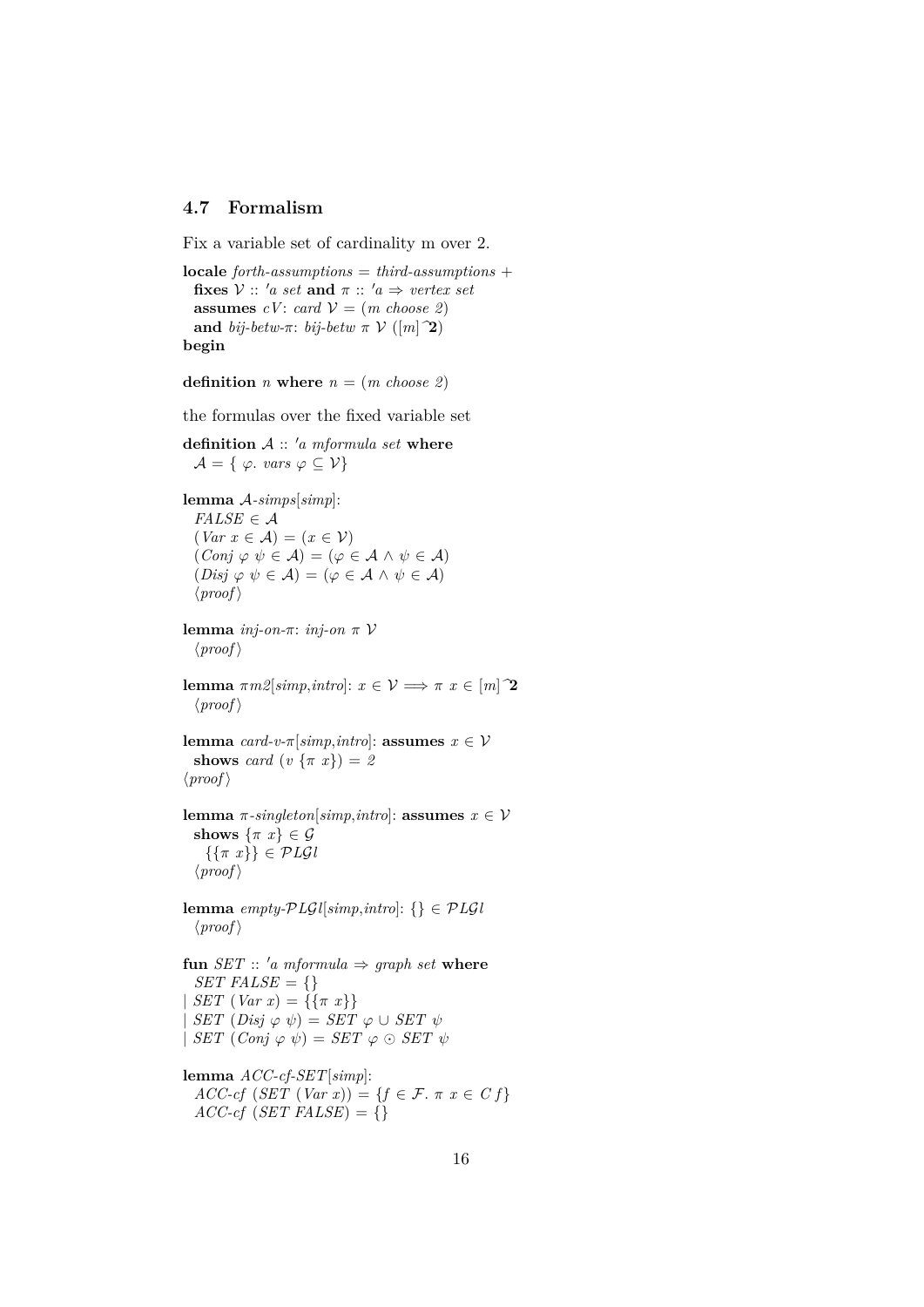# <span id="page-15-0"></span>**4.7 Formalism**

Fix a variable set of cardinality m over 2.

```
locale forth-assumptions = third-assumptions +
 fixes V :: 'a set and \pi :: 'a \Rightarrow vertex set
  assumes cV: card V = (m \; choose \; 2)and bij-betw-\pi: bij-betw \pi \mathcal{V} ([m]<sup>2</sup>)
begin
```

```
definition n where n = (m \text{ choose } 2)
```
the formulas over the fixed variable set

```
definition A :: 'a mformula set where
  \mathcal{A} = \{ \varphi \text{. } vars \varphi \subseteq \mathcal{V} \}
```

```
lemma A-simps[simp]:
  FALSE \in \mathcal{A}\left( \text{Var } x \in \mathcal{A} \right) = \left( x \in \mathcal{V} \right)(Conj \varphi \psi \in \mathcal{A}) = (\varphi \in \mathcal{A} \wedge \psi \in \mathcal{A})(Disj \varphi \psi \in \mathcal{A}) = (\varphi \in \mathcal{A} \wedge \psi \in \mathcal{A})\langle proof \ranglelemma inj-on-π: inj-on π V
  \langle proof \ranglelemma \pi m2[simp, intro]: x \in V \implies \pi x \in [m]<sup>2</sup>
  \langle proof \ranglelemma card-v<sup>\pi</sup>|simp, intro|: assumes x \in Vshows card (v \{ \pi x \}) = 2\langle proof \ranglelemma \pi-singleton<sup>[simp</sup>,intro]: assumes x \in Vshows \{\pi x\} \in \mathcal{G}\{\{\pi x\}\}\in \mathcal{P}L\mathcal{G}l\langle proof \ranglelemma empty-PLGl[simp,intro]: {} \in PLGl
  \langle proof \ranglefun SET :: 'a mformula \Rightarrow graph set where
  SET FALSE = \{\}SET (Var x) = {\{\pi x\}}SET (Disj \varphi \psi) = SET \varphi \cup SET \psi| SET (Conj \varphi \psi) = SET \varphi \odot SET \psi
```

```
lemma ACC-cf-SET[simp]:
  ACC\text{-}cf (SET (Var x)) = \{f \in \mathcal{F} \colon \pi x \in \mathcal{C} f\}ACC-cf (SET FALSE) = {}
```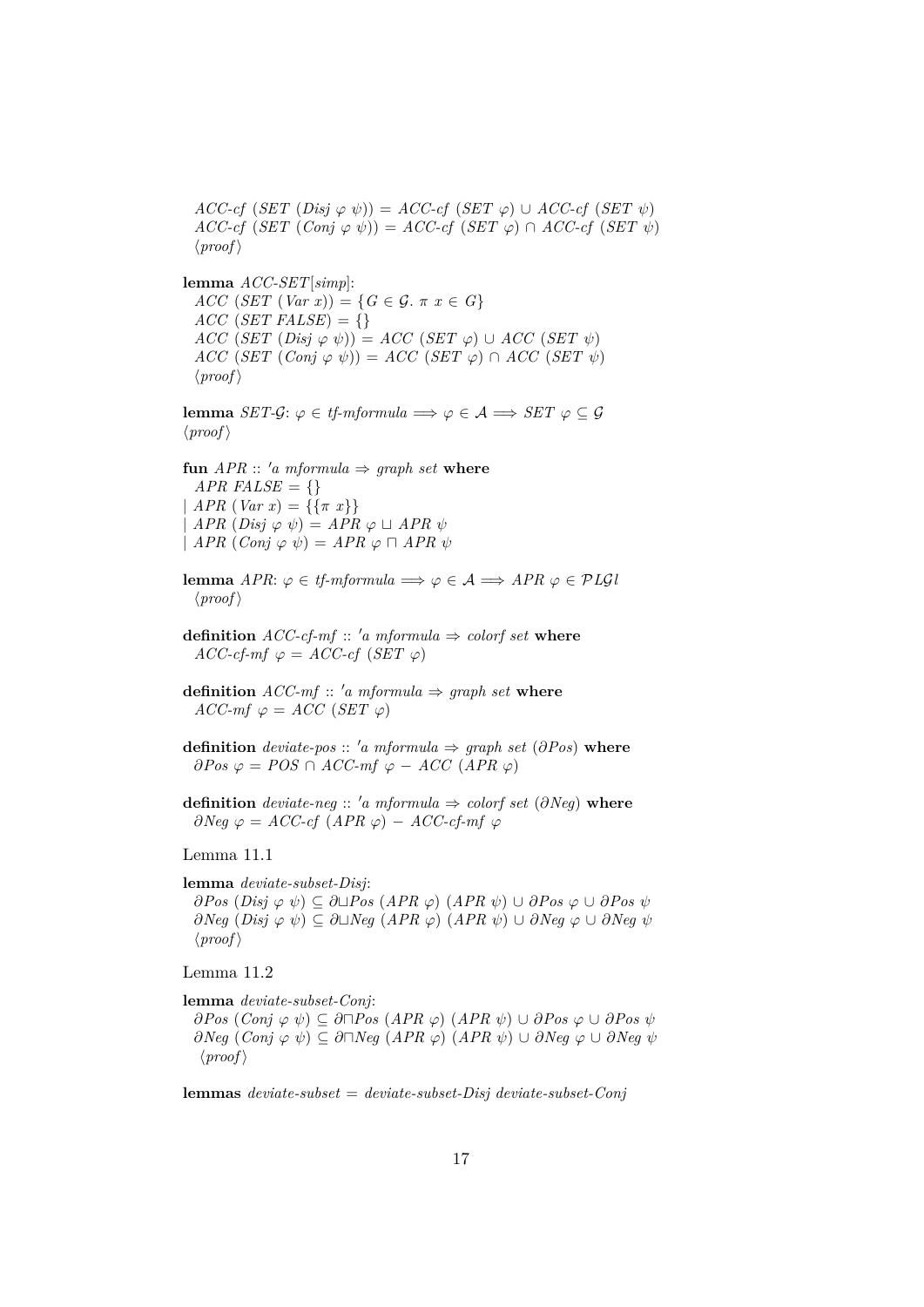$ACC-cf$  (*SET* (*Disj*  $\varphi$   $\psi$ )) = *ACC-cf* (*SET*  $\varphi$ ) ∪ *ACC-cf* (*SET*  $\psi$ )  $ACC\text{-}cf$   $(SET (Conj \varphi \psi)) = ACC\text{-}cf (SET \varphi) \cap ACC\text{-}cf (SET \psi)$  $\langle proof \rangle$ 

**lemma** *ACC-SET*[*simp*]:  $ACC(SET (Var x)) = {G \in \mathcal{G}. \pi x \in G}$  $ACC$  (*SET FALSE*) = {}  $ACC(SET(Disj \varphi \psi)) = ACC(SET \varphi) \cup ACC(SET \psi)$  $ACC$  (*SET* (*Conj*  $\varphi$   $\psi$ )) = *ACC* (*SET*  $\varphi$ )  $\cap$  *ACC* (*SET*  $\psi$ )  $\langle proof \rangle$ 

**lemma** *SET-G*:  $\varphi \in \text{tf-mformula} \implies \varphi \in \mathcal{A} \implies \text{SET } \varphi \subseteq \mathcal{G}$  $\langle proof \rangle$ 

**fun**  $APR :: 'a$  mformula  $\Rightarrow$  graph set where  $APR$  *FALSE* = {} |  $APR (Var x) = {\{\pi x\}}$  $APR$   $(Disj \varphi \psi) = APR \varphi \sqcup APR \psi$  $\mid$  *APR*  $(Conj \varphi \psi) = APR \varphi \sqcap APR \psi$ 

**lemma** *APR*:  $\varphi \in tf\text{-}mformula \implies \varphi \in \mathcal{A} \implies APR \varphi \in PLGI$  $\langle proof \rangle$ 

**definition**  $ACC\text{-}cf\text{-}mf :: 'a mformula \Rightarrow colorf set where$  $ACC\text{-}cf\text{-}mf \varphi = ACC\text{-}cf (SET \varphi)$ 

**definition**  $ACC\text{-}mf :: 'a mformula \Rightarrow graph set where$  $ACC\text{-}mf \varphi = ACC (SET \varphi)$ 

**definition** *deviate-pos* :: 'a mformula  $\Rightarrow$  graph set ( $\partial Pos$ ) where  $∂Pos$   $φ = POS ∩ ACC-mf$   $φ - ACC (APR φ)$ 

**definition** *deviate-neg*  $\therefore$  '*a mformula*  $\Rightarrow$  *colorf set* (∂*Neg*) **where**  $\partial Neg \varphi = ACC\text{-}cf (APR \varphi) - ACC\text{-}cf\text{-}mf \varphi$ 

Lemma 11.1

**lemma** *deviate-subset-Disj*:

∂*Pos* (*Disj* ϕ ψ) ⊆ ∂t*Pos* (*APR* ϕ) (*APR* ψ) ∪ ∂*Pos* ϕ ∪ ∂*Pos* ψ  $∂Neg (Disj φ ψ) ⊆ ∂□Neg (APR φ) (APR ψ) ∪ ∂Neg φ ∪ ∂*Neg ψ*$  $\langle proof \rangle$ 

Lemma 11.2

**lemma** *deviate-subset-Conj*:

 $∂Pos$  (*Conj*  $\varphi$   $\psi$ ) ⊆ ∂ $\Box Pos$  (*APR*  $\varphi$ ) (*APR*  $\psi$ ) ∪ ∂*Pos*  $\varphi$  ∪ ∂*Pos*  $\psi$  $∂Neg(Conj φ ψ) ⊆ ∂⊓Neg(APR φ) (APR ψ) ∪ ∂Neg φ ∪ ∂Neg ψ$  $\langle proof \rangle$ 

**lemmas** *deviate-subset* = *deviate-subset-Disj deviate-subset-Conj*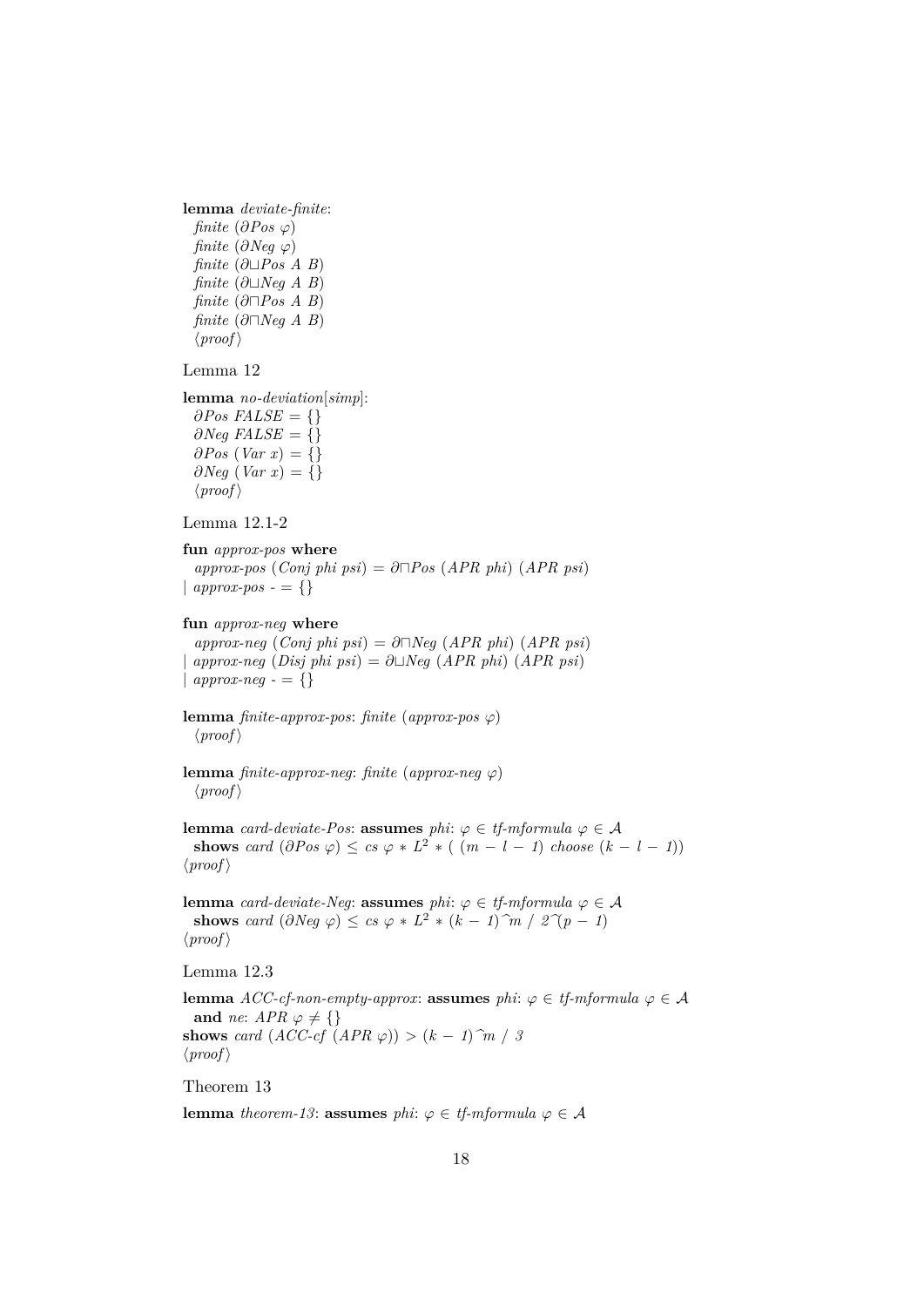```
lemma deviate-finite:
  finite (\partial Pos \varphi)
  finite (\partial Neg \varphi)finite (\partial∟Pos A B)
  finite (\partial∟Neg A B)
  finite (\partial \Box Pos \land B)finite (\partial \Box Neg \land B)\langle proof \rangle
```
#### Lemma 12

**lemma** *no-deviation*[*simp*]:  $\partial Pos$  *FALSE* = {} ∂*Neg FALSE* = {}  $\partial PoS$  (*Var x*) = {}  $∂Neg (Var x) = { }$  $\langle proof \rangle$ 

Lemma 12.1-2

**fun** *approx-pos* **where**  $approx\text{-}pos$  (*Conj phi psi*) = ∂ $\neg$ *Pos* (*APR phi*) (*APR psi*) |  $approx\text{-}pos = \{\}$ 

#### **fun** *approx-neg* **where**

 $approx\text{-}neg \ (Conj \ phi \ psi) = \partial \Box \text{Neg} \ (APR \ phi) \ (APR \ psi)$  $\Delta$ *approx-neg* (*Disj phi psi*) =  $\partial \Box \text{Neg}$  (*APR phi*) (*APR psi*) |  $approx-neg - \{\}$ 

**lemma** *finite-approx-pos*: *finite* (*approx-pos*  $\varphi$ )  $\langle proof \rangle$ 

**lemma** *finite-approx-neg*: *finite* (*approx-neg*  $\varphi$ )  $\langle proof \rangle$ 

**lemma** *card-deviate-Pos*: **assumes** *phi*:  $\varphi \in tf\text{-}mformula$   $\varphi \in A$ **shows** *card*  $(\partial Pos \varphi) \leq cs \varphi * L^2 * ((m - l - 1) \text{ choose } (k - l - 1))$  $\langle proof \rangle$ 

**lemma** *card-deviate-Neg*: **assumes** *phi*:  $\varphi \in \mathit{tf\text{-}mformula}$   $\varphi \in \mathcal{A}$ **shows** *card*  $(\partial Neg \varphi) \leq cs \varphi * L^2 * (k - 1) \hat{m} / 2 \hat{\varphi}(p - 1)$  $\langle proof \rangle$ 

Lemma 12.3

**lemma**  $ACC\text{-}cf\text{-}non-empty\text{-}approx:$  **assumes**  $phi: \varphi \in tf\text{-}mformula \varphi \in \mathcal{A}$ **and** *ne*:  $APR \varphi \neq \{\}$ **shows** *card*  $(ACC-cf$   $(APR \varphi)) > (k-1)\hat{m}/3$  $\langle proof \rangle$ 

Theorem 13

**lemma** *theorem-13*: **assumes** *phi*:  $\varphi \in \mathit{tf\text{-}mformula}$   $\varphi \in \mathcal{A}$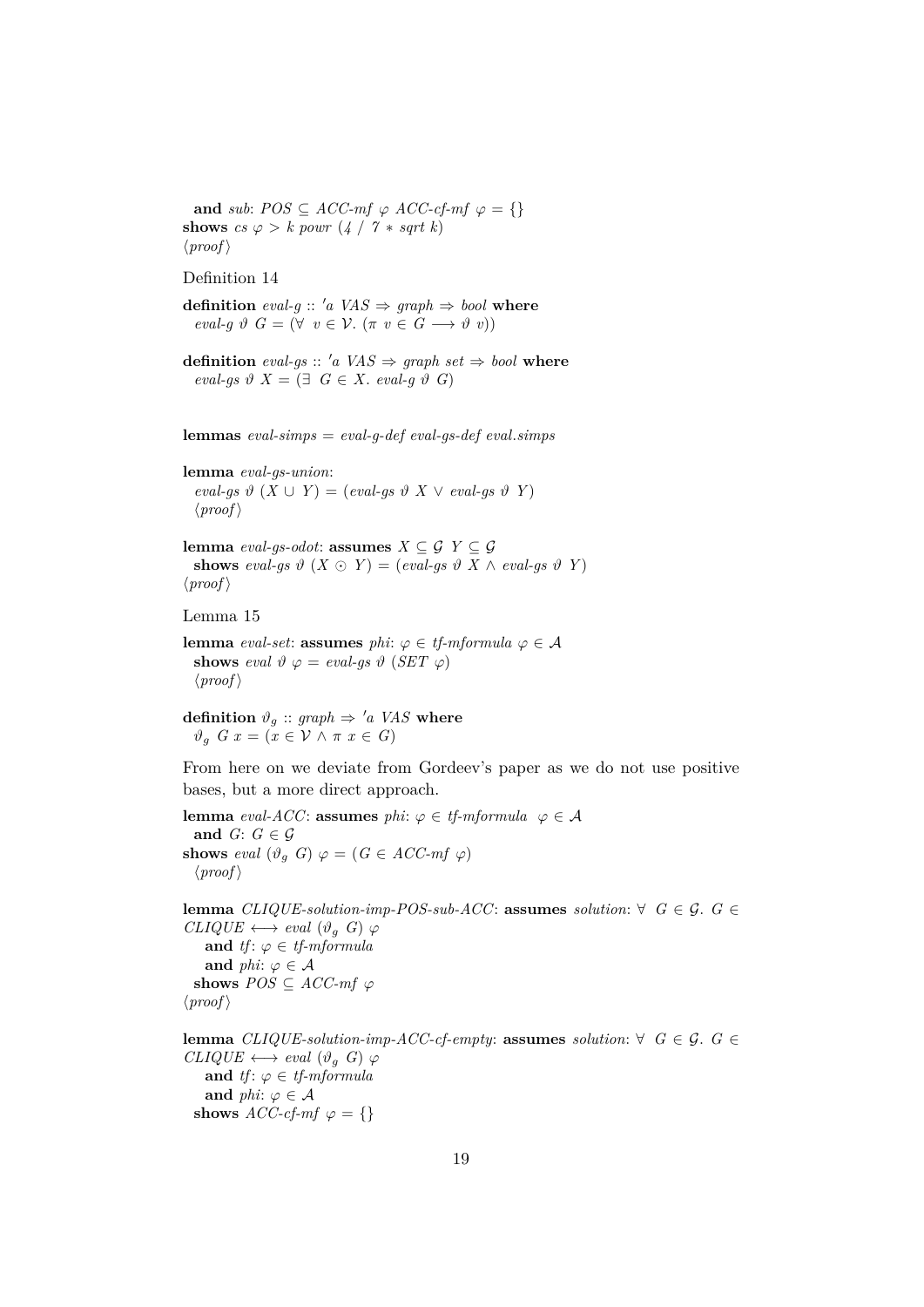**and** *sub*:  $POS \subseteq ACC\text{-}mf \varphi ACC\text{-}cf\text{-}mf \varphi = \{\}$ **shows**  $cs \varphi > k$  *powr*  $(4 / 7 * sqrt k)$  $\langle proof \rangle$ 

Definition 14

**definition**  $eval-g :: 'a \, VAS \Rightarrow graph \Rightarrow bool$  where  $eval-g \vartheta G = (\forall v \in \mathcal{V} \land (\pi v \in G \longrightarrow \vartheta v))$ 

**definition** eval-gs :: 'a VAS  $\Rightarrow$  graph set  $\Rightarrow$  bool where  $eval-gs \vartheta \ X = (\exists \ G \in X. \ eval-g \vartheta \ G)$ 

**lemmas** *eval-simps* = *eval-g-def eval-gs-def eval*.*simps*

**lemma** *eval-gs-union*:  $eval-gs \vartheta (X \cup Y) = (eval-gs \vartheta X \vee eval-gs \vartheta Y)$  $\langle proof \rangle$ 

**lemma** *eval-gs-odot*: **assumes**  $X \subseteq \mathcal{G}$   $Y \subseteq \mathcal{G}$ shows eval-gs  $\vartheta$   $(X \odot Y) = (eval-gs \vartheta X \wedge eval-gs \vartheta Y)$  $\langle proof \rangle$ 

Lemma 15

**lemma** *eval-set*: **assumes** *phi*:  $\varphi \in \text{tf-mformula } \varphi \in \mathcal{A}$ **shows** *eval*  $\vartheta \varphi = eval-gs \vartheta$  (*SET*  $\varphi$ )  $\langle proof \rangle$ 

**definition**  $\vartheta_g$  :: *graph*  $\Rightarrow$  '*a VAS* **where**  $\vartheta_g$  *G*  $x = (x \in \mathcal{V} \land \pi \ x \in G)$ 

From here on we deviate from Gordeev's paper as we do not use positive bases, but a more direct approach.

**lemma** *eval-ACC*: **assumes** *phi*:  $\varphi \in \text{tf-mformula}$   $\varphi \in \mathcal{A}$ **and**  $G: G \in \mathcal{G}$ **shows** *eval*  $(\vartheta_g \ G) \varphi = (G \in ACC\text{-}mf \varphi)$  $\langle proof \rangle$ 

**lemma** *CLIQUE-solution-imp-POS-sub-ACC*: **assumes** *solution*: ∀ *G* ∈ *G*. *G* ∈  $CLIQUE \longleftrightarrow eval (\vartheta_a G) \varphi$ **and** *tf*:  $\varphi \in \text{tf-mformula}$ **and** *phi*:  $\varphi \in \mathcal{A}$ **shows**  $POS \subseteq ACC\text{-}mf \varphi$  $\langle proof \rangle$ 

**lemma** *CLIQUE-solution-imp-ACC-cf-empty:* **assumes** *solution*: ∀ *G* ∈ *G*. *G* ∈  $CLIQUE \longleftrightarrow eval (\vartheta_a \ G) \ \varphi$ **and** *tf*:  $\varphi \in \text{tf-mformula}$ **and** *phi*:  $\varphi \in \mathcal{A}$ **shows**  $\text{ACC-cf-mf} \varphi = \{\}$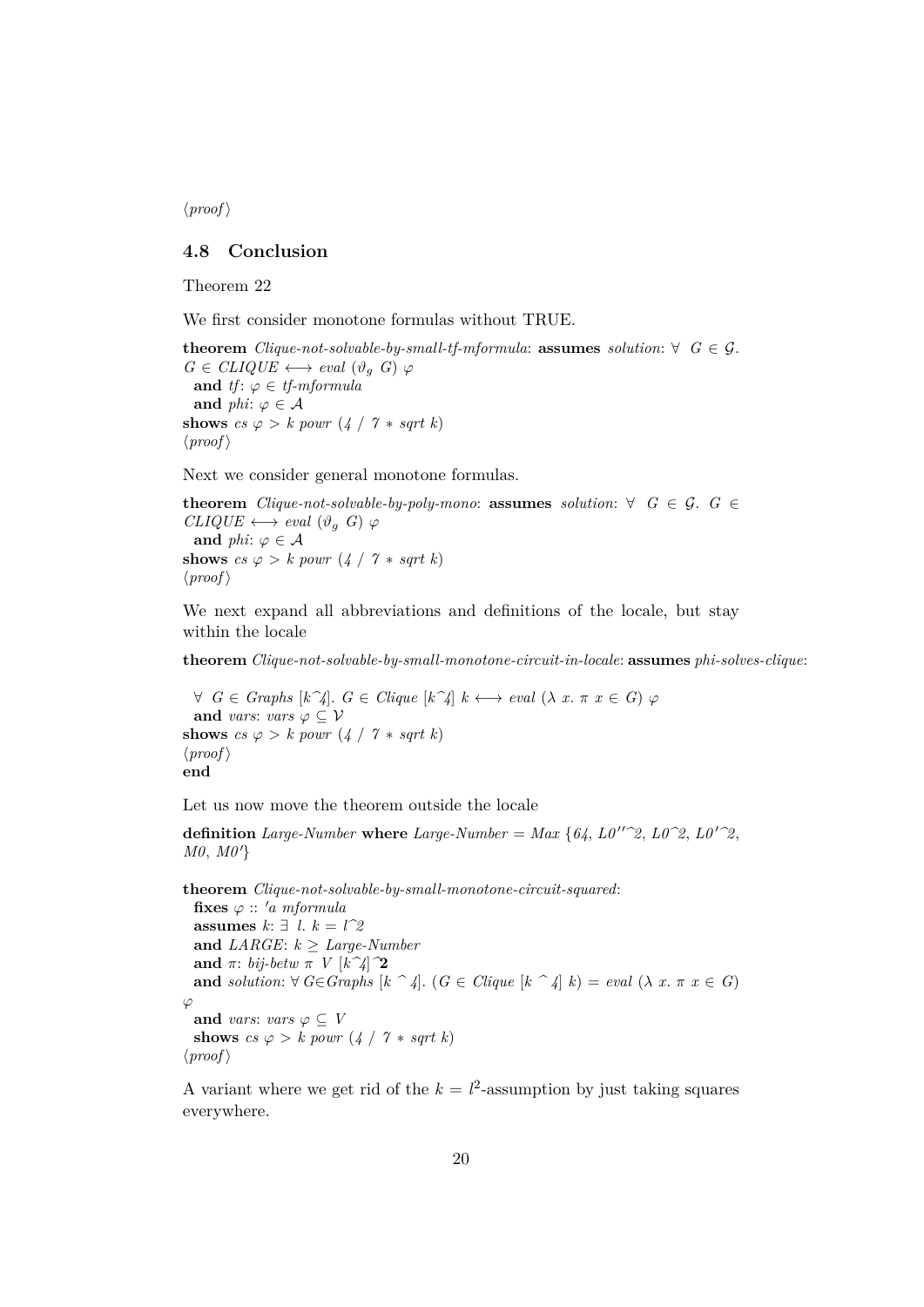$\langle proof \rangle$ 

## <span id="page-19-0"></span>**4.8 Conclusion**

Theorem 22

We first consider monotone formulas without TRUE.

**theorem** *Clique-not-solvable-by-small-tf-mformula*: **assumes** *solution*: ∀  $G \in \mathcal{G}$ .  $G \in CLIQUE \longleftrightarrow eval(\vartheta_g \ G) \ \varphi$ **and** *tf*:  $\varphi \in \text{tf-mformula}$ **and** *phi*:  $\varphi \in \mathcal{A}$ **shows**  $cs \varphi > k$  *powr*  $(4 / 7 * sqrt k)$  $\langle proof \rangle$ 

Next we consider general monotone formulas.

**theorem** *Clique-not-solvable-by-poly-mono:* **assumes** *solution*:  $\forall$  *G*  $\in$  *G*. *G*  $\in$  $CLIQUE \longleftrightarrow eval (\vartheta_g \ G) \ \varphi$ **and** *phi*:  $\varphi \in \mathcal{A}$ **shows**  $cs \varphi > k$  *powr*  $(4 / 7 * sqrt k)$  $\langle proof \rangle$ 

We next expand all abbreviations and definitions of the locale, but stay within the locale

**theorem** *Clique-not-solvable-by-small-monotone-circuit-in-locale*: **assumes** *phi-solves-clique*:

 $∀ G ∈ Graphs [k^4]$ .  $G ∈ Clique [k^4] k \leftrightarrow eval (\lambda x. π x ∈ G) φ$ **and** *vars*: *vars*  $\varphi \subseteq V$ **shows**  $cs \varphi > k$  powr  $(4 / 7 * sqrt k)$  $\langle proof \rangle$ **end**

Let us now move the theorem outside the locale

**definition** *Large-Number* **where** *Large-Number* = *Max* {64,  $L0''^2$ ,  $L0^2$ ,  $L0'^2$ ,  $L0'^2$ ,  $M0, M0'$ 

**theorem** *Clique-not-solvable-by-small-monotone-circuit-squared*: fixes  $\varphi$  :: 'a mformula **assumes** *k*: ∃ *l*. *k* = *l^2* **and** *LARGE*: *k* ≥ *Large-Number* **and**  $\pi$ : *bij-betw*  $\pi$  *V*  $[k^2/2]$ **and** *solution*:  $\forall G \in Graphs$   $[k \hat{=} 4]$ .  $(G \in Clique | k \hat{=} 4] k) = eval (\lambda x. \pi x \in G)$  $\varphi$ **and** *vars*: *vars*  $\varphi \subseteq V$ **shows**  $cs \varphi > k$  powr  $(4 / 7 * sqrt k)$  $\langle proof \rangle$ 

A variant where we get rid of the  $k = l^2$ -assumption by just taking squares everywhere.